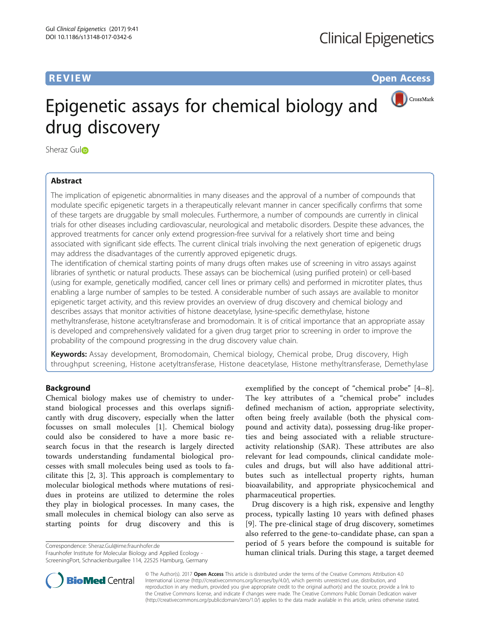**REVIEW CONSTRUCTION CONSTRUCTION CONSTRUCTS** 

CrossMark

# Epigenetic assays for chemical biology and drug discovery

Sheraz Gu[l](http://orcid.org/0000-0003-2543-1643)o

# Abstract

The implication of epigenetic abnormalities in many diseases and the approval of a number of compounds that modulate specific epigenetic targets in a therapeutically relevant manner in cancer specifically confirms that some of these targets are druggable by small molecules. Furthermore, a number of compounds are currently in clinical trials for other diseases including cardiovascular, neurological and metabolic disorders. Despite these advances, the approved treatments for cancer only extend progression-free survival for a relatively short time and being associated with significant side effects. The current clinical trials involving the next generation of epigenetic drugs may address the disadvantages of the currently approved epigenetic drugs.

The identification of chemical starting points of many drugs often makes use of screening in vitro assays against libraries of synthetic or natural products. These assays can be biochemical (using purified protein) or cell-based (using for example, genetically modified, cancer cell lines or primary cells) and performed in microtiter plates, thus enabling a large number of samples to be tested. A considerable number of such assays are available to monitor epigenetic target activity, and this review provides an overview of drug discovery and chemical biology and describes assays that monitor activities of histone deacetylase, lysine-specific demethylase, histone methyltransferase, histone acetyltransferase and bromodomain. It is of critical importance that an appropriate assay is developed and comprehensively validated for a given drug target prior to screening in order to improve the probability of the compound progressing in the drug discovery value chain.

**Keywords:** Assay development, Bromodomain, Chemical biology, Chemical probe, Drug discovery, High throughput screening, Histone acetyltransferase, Histone deacetylase, Histone methyltransferase, Demethylase

# Background

Chemical biology makes use of chemistry to understand biological processes and this overlaps significantly with drug discovery, especially when the latter focusses on small molecules [[1\]](#page-14-0). Chemical biology could also be considered to have a more basic research focus in that the research is largely directed towards understanding fundamental biological processes with small molecules being used as tools to facilitate this [\[2](#page-14-0), [3\]](#page-14-0). This approach is complementary to molecular biological methods where mutations of residues in proteins are utilized to determine the roles they play in biological processes. In many cases, the small molecules in chemical biology can also serve as starting points for drug discovery and this is

Correspondence: [Sheraz.Gul@ime.fraunhofer.de](mailto:Sheraz.Gul@ime.fraunhofer.de)

Fraunhofer Institute for Molecular Biology and Applied Ecology - ScreeningPort, Schnackenburgallee 114, 22525 Hamburg, Germany exemplified by the concept of "chemical probe" [\[4](#page-14-0)–[8](#page-14-0)]. The key attributes of a "chemical probe" includes defined mechanism of action, appropriate selectivity, often being freely available (both the physical compound and activity data), possessing drug-like properties and being associated with a reliable structureactivity relationship (SAR). These attributes are also relevant for lead compounds, clinical candidate molecules and drugs, but will also have additional attributes such as intellectual property rights, human bioavailability, and appropriate physicochemical and pharmaceutical properties.

Drug discovery is a high risk, expensive and lengthy process, typically lasting 10 years with defined phases [[9\]](#page-14-0). The pre-clinical stage of drug discovery, sometimes also referred to the gene-to-candidate phase, can span a period of 5 years before the compound is suitable for human clinical trials. During this stage, a target deemed



© The Author(s). 2017 **Open Access** This article is distributed under the terms of the Creative Commons Attribution 4.0 International License [\(http://creativecommons.org/licenses/by/4.0/](http://creativecommons.org/licenses/by/4.0/)), which permits unrestricted use, distribution, and reproduction in any medium, provided you give appropriate credit to the original author(s) and the source, provide a link to the Creative Commons license, and indicate if changes were made. The Creative Commons Public Domain Dedication waiver [\(http://creativecommons.org/publicdomain/zero/1.0/](http://creativecommons.org/publicdomain/zero/1.0/)) applies to the data made available in this article, unless otherwise stated.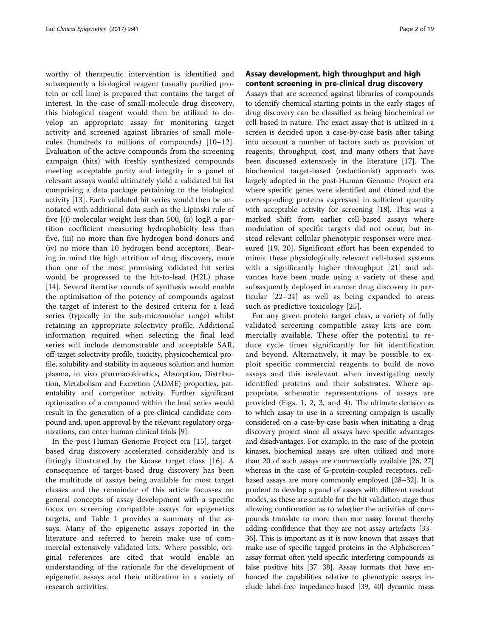worthy of therapeutic intervention is identified and subsequently a biological reagent (usually purified protein or cell line) is prepared that contains the target of interest. In the case of small-molecule drug discovery, this biological reagent would then be utilized to develop an appropriate assay for monitoring target activity and screened against libraries of small molecules (hundreds to millions of compounds) [\[10](#page-14-0)–[12](#page-14-0)]. Evaluation of the active compounds from the screening campaign (hits) with freshly synthesized compounds meeting acceptable purity and integrity in a panel of relevant assays would ultimately yield a validated hit list comprising a data package pertaining to the biological activity [[13\]](#page-14-0). Each validated hit series would then be annotated with additional data such as the Lipinski rule of five [(i) molecular weight less than 500, (ii) logP, a partition coefficient measuring hydrophobicity less than five, (iii) no more than five hydrogen bond donors and (iv) no more than 10 hydrogen bond acceptors]. Bearing in mind the high attrition of drug discovery, more than one of the most promising validated hit series would be progressed to the hit-to-lead (H2L) phase [[14\]](#page-14-0). Several iterative rounds of synthesis would enable the optimisation of the potency of compounds against the target of interest to the desired criteria for a lead series (typically in the sub-micromolar range) whilst retaining an appropriate selectivity profile. Additional information required when selecting the final lead series will include demonstrable and acceptable SAR, off-target selectivity profile, toxicity, physicochemical profile, solubility and stability in aqueous solution and human plasma, in vivo pharmacokinetics, Absorption, Distribution, Metabolism and Excretion (ADME) properties, patentability and competitor activity. Further significant optimisation of a compound within the lead series would result in the generation of a pre-clinical candidate compound and, upon approval by the relevant regulatory organizations, can enter human clinical trials [\[9](#page-14-0)].

In the post-Human Genome Project era [[15\]](#page-14-0), targetbased drug discovery accelerated considerably and is fittingly illustrated by the kinase target class [[16\]](#page-14-0). A consequence of target-based drug discovery has been the multitude of assays being available for most target classes and the remainder of this article focusses on general concepts of assay development with a specific focus on screening compatible assays for epigenetics targets, and Table [1](#page-2-0) provides a summary of the assays. Many of the epigenetic assays reported in the literature and referred to herein make use of commercial extensively validated kits. Where possible, original references are cited that would enable an understanding of the rationale for the development of epigenetic assays and their utilization in a variety of research activities.

# Assay development, high throughput and high content screening in pre-clinical drug discovery

Assays that are screened against libraries of compounds to identify chemical starting points in the early stages of drug discovery can be classified as being biochemical or cell-based in nature. The exact assay that is utilized in a screen is decided upon a case-by-case basis after taking into account a number of factors such as provision of reagents, throughput, cost, and many others that have been discussed extensively in the literature [[17\]](#page-14-0). The biochemical target-based (reductionist) approach was largely adopted in the post-Human Genome Project era where specific genes were identified and cloned and the corresponding proteins expressed in sufficient quantity with acceptable activity for screening [\[18\]](#page-14-0). This was a marked shift from earlier cell-based assays where modulation of specific targets did not occur, but instead relevant cellular phenotypic responses were measured [[19, 20\]](#page-14-0). Significant effort has been expended to mimic these physiologically relevant cell-based systems with a significantly higher throughput [[21\]](#page-14-0) and advances have been made using a variety of these and subsequently deployed in cancer drug discovery in particular [[22](#page-15-0)–[24\]](#page-15-0) as well as being expanded to areas such as predictive toxicology [\[25](#page-15-0)].

For any given protein target class, a variety of fully validated screening compatible assay kits are commercially available. These offer the potential to reduce cycle times significantly for hit identification and beyond. Alternatively, it may be possible to exploit specific commercial reagents to build de novo assays and this isrelevant when investigating newly identified proteins and their substrates. Where appropriate, schematic representations of assays are provided (Figs. [1,](#page-5-0) [2](#page-6-0), [3,](#page-6-0) and [4\)](#page-7-0). The ultimate decision as to which assay to use in a screening campaign is usually considered on a case-by-case basis when initiating a drug discovery project since all assays have specific advantages and disadvantages. For example, in the case of the protein kinases, biochemical assays are often utilized and more than 20 of such assays are commercially available [\[26](#page-15-0), [27](#page-15-0)] whereas in the case of G-protein-coupled receptors, cellbased assays are more commonly employed [\[28](#page-15-0)–[32\]](#page-15-0). It is prudent to develop a panel of assays with different readout modes, as these are suitable for the hit validation stage thus allowing confirmation as to whether the activities of compounds translate to more than one assay format thereby adding confidence that they are not assay artefacts [\[33](#page-15-0)– [36](#page-15-0)]. This is important as it is now known that assays that make use of specific tagged proteins in the AlphaScreen™ assay format often yield specific interfering compounds as false positive hits [\[37, 38\]](#page-15-0). Assay formats that have enhanced the capabilities relative to phenotypic assays include label-free impedance-based [[39](#page-15-0), [40](#page-15-0)] dynamic mass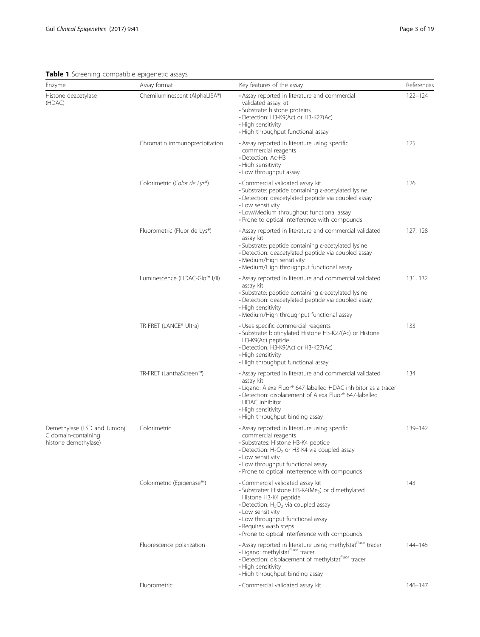<span id="page-2-0"></span>Table 1 Screening compatible epigenetic assays

| Enzyme                                                                      | Assay format                  | Key features of the assay                                                                                                                                                                                                                                                                                  | References  |
|-----------------------------------------------------------------------------|-------------------------------|------------------------------------------------------------------------------------------------------------------------------------------------------------------------------------------------------------------------------------------------------------------------------------------------------------|-------------|
| Histone deacetylase<br>(HDAC)                                               | Chemiluminescent (AlphaLISA®) | • Assay reported in literature and commercial<br>validated assay kit<br>· Substrate: histone proteins<br>• Detection: H3-K9(Ac) or H3-K27(Ac)<br>• High sensitivity<br>· High throughput functional assay                                                                                                  | $122 - 124$ |
|                                                                             | Chromatin immunoprecipitation | • Assay reported in literature using specific<br>commercial reagents<br>• Detection: Ac-H3<br>· High sensitivity<br>• Low throughput assay                                                                                                                                                                 | 125         |
|                                                                             | Colorimetric (Color de Lys®)  | • Commercial validated assay kit<br>• Substrate: peptide containing $\varepsilon$ -acetylated lysine<br>· Detection: deacetylated peptide via coupled assay<br>• Low sensitivity<br>• Low/Medium throughput functional assay<br>• Prone to optical interference with compounds                             | 126         |
|                                                                             | Fluorometric (Fluor de Lys®)  | • Assay reported in literature and commercial validated<br>assay kit<br>· Substrate: peptide containing <i>ε</i> -acetylated lysine<br>· Detection: deacetylated peptide via coupled assay<br>• Medium/High sensitivity<br>• Medium/High throughput functional assay                                       | 127, 128    |
|                                                                             | Luminescence (HDAC-Glo™ I/II) | · Assay reported in literature and commercial validated<br>assay kit<br>· Substrate: peptide containing <i>ε</i> -acetylated lysine<br>· Detection: deacetylated peptide via coupled assay<br>· High sensitivity<br>• Medium/High throughput functional assay                                              | 131, 132    |
|                                                                             | TR-FRET (LANCE® Ultra)        | · Uses specific commercial reagents<br>· Substrate: biotinylated Histone H3-K27(Ac) or Histone<br>H3-K9(Ac) peptide<br>· Detection: H3-K9(Ac) or H3-K27(Ac)<br>· High sensitivity<br>• High throughput functional assay                                                                                    | 133         |
|                                                                             | TR-FRET (LanthaScreen™)       | • Assay reported in literature and commercial validated<br>assay kit<br>• Ligand: Alexa Fluor® 647-labelled HDAC inhibitor as a tracer<br>• Detection: displacement of Alexa Fluor® 647-labelled<br>HDAC inhibitor<br>· High sensitivity<br>• High throughput binding assay                                | 134         |
| Demethylase (LSD and Jumonji<br>C domain-containing<br>histone demethylase) | Colorimetric                  | • Assay reported in literature using specific<br>commercial reagents<br>· Substrates: Histone H3-K4 peptide<br>• Detection: $H_2O_2$ or H3-K4 via coupled assay<br>• Low sensitivity<br>• Low throughput functional assay<br>• Prone to optical interference with compounds                                | 139-142     |
|                                                                             | Colorimetric (Epigenase™)     | • Commercial validated assay kit<br>• Substrates: Histone H3-K4(Me <sub>2</sub> ) or dimethylated<br>Histone H3-K4 peptide<br>• Detection: $H_2O_2$ via coupled assay<br>• Low sensitivity<br>• Low throughput functional assay<br>• Requires wash steps<br>• Prone to optical interference with compounds | 143         |
|                                                                             | Fluorescence polarization     | • Assay reported in literature using methylstat fluor tracer<br>· Ligand: methylstat <sup>fluor</sup> tracer<br>· Detection: displacement of methylstatfluor tracer<br>· High sensitivity<br>• High throughput binding assay                                                                               | 144-145     |
|                                                                             | Fluorometric                  | • Commercial validated assay kit                                                                                                                                                                                                                                                                           | 146-147     |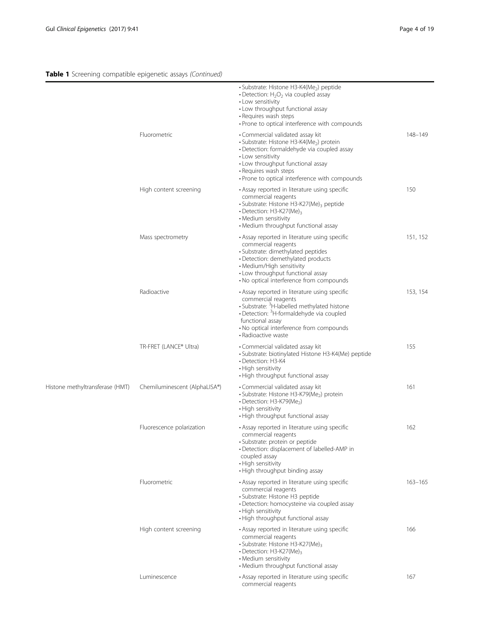# Table 1 Screening compatible epigenetic assays (Continued)

|                                 |                               | • Substrate: Histone H3-K4(Me <sub>2</sub> ) peptide<br>• Detection: $H_2O_2$ via coupled assay<br>• Low sensitivity<br>• Low throughput functional assay<br>• Requires wash steps<br>• Prone to optical interference with compounds                                           |             |
|---------------------------------|-------------------------------|--------------------------------------------------------------------------------------------------------------------------------------------------------------------------------------------------------------------------------------------------------------------------------|-------------|
|                                 | Fluorometric                  | • Commercial validated assay kit<br>• Substrate: Histone H3-K4(Me <sub>2</sub> ) protein<br>· Detection: formaldehyde via coupled assay<br>• Low sensitivity<br>• Low throughput functional assay<br>• Requires wash steps<br>• Prone to optical interference with compounds   | 148-149     |
|                                 | High content screening        | • Assay reported in literature using specific<br>commercial reagents<br>· Substrate: Histone H3-K27(Me)3 peptide<br>$\cdot$ Detection: H3-K27(Me) <sub>3</sub><br>• Medium sensitivity<br>• Medium throughput functional assay                                                 | 150         |
|                                 | Mass spectrometry             | • Assay reported in literature using specific<br>commercial reagents<br>· Substrate: dimethylated peptides<br>· Detection: demethylated products<br>• Medium/High sensitivity<br>• Low throughput functional assay<br>. No optical interference from compounds                 | 151, 152    |
|                                 | Radioactive                   | • Assay reported in literature using specific<br>commercial reagents<br>· Substrate: <sup>3</sup> H-labelled methylated histone<br>· Detection: <sup>3</sup> H-formaldehyde via coupled<br>functional assay<br>. No optical interference from compounds<br>• Radioactive waste | 153, 154    |
|                                 | TR-FRET (LANCE® Ultra)        | • Commercial validated assay kit<br>· Substrate: biotinylated Histone H3-K4(Me) peptide<br>• Detection: H3-K4<br>• High sensitivity<br>• High throughput functional assay                                                                                                      | 155         |
| Histone methyltransferase (HMT) | Chemiluminescent (AlphaLISA®) | • Commercial validated assay kit<br>• Substrate: Histone H3-K79(Me <sub>2</sub> ) protein<br>• Detection: H3-K79(Me <sub>2</sub> )<br>· High sensitivity<br>· High throughput functional assay                                                                                 | 161         |
|                                 | Fluorescence polarization     | • Assay reported in literature using specific<br>commercial reagents<br>· Substrate: protein or peptide<br>• Detection: displacement of labelled-AMP in<br>coupled assay<br>• High sensitivity<br>• High throughput binding assay                                              | 162         |
|                                 | Fluorometric                  | • Assay reported in literature using specific<br>commercial reagents<br>• Substrate: Histone H3 peptide<br>• Detection: homocysteine via coupled assay<br>• High sensitivity<br>• High throughput functional assay                                                             | $163 - 165$ |
|                                 | High content screening        | • Assay reported in literature using specific<br>commercial reagents<br>• Substrate: Histone H3-K27(Me)3<br>• Detection: H3-K27(Me) <sub>3</sub><br>• Medium sensitivity<br>• Medium throughput functional assay                                                               | 166         |
|                                 | Luminescence                  | • Assay reported in literature using specific<br>commercial reagents                                                                                                                                                                                                           | 167         |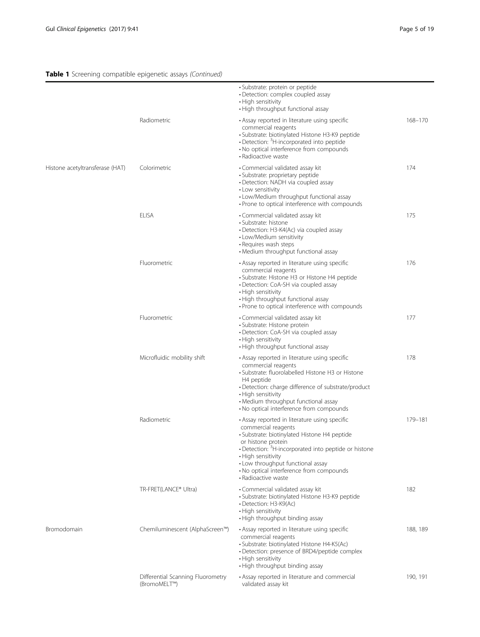# Table 1 Screening compatible epigenetic assays (Continued)

|                                 |                                                                | · Substrate: protein or peptide<br>• Detection: complex coupled assay<br>· High sensitivity<br>• High throughput functional assay                                                                                                                                                                                                            |          |
|---------------------------------|----------------------------------------------------------------|----------------------------------------------------------------------------------------------------------------------------------------------------------------------------------------------------------------------------------------------------------------------------------------------------------------------------------------------|----------|
|                                 | Radiometric                                                    | • Assay reported in literature using specific<br>commercial reagents<br>· Substrate: biotinylated Histone H3-K9 peptide<br>• Detection: <sup>3</sup> H-incorporated into peptide<br>• No optical interference from compounds<br>• Radioactive waste                                                                                          | 168-170  |
| Histone acetyltransferase (HAT) | Colorimetric                                                   | • Commercial validated assay kit<br>· Substrate: proprietary peptide<br>• Detection: NADH via coupled assay<br>• Low sensitivity<br>• Low/Medium throughput functional assay<br>• Prone to optical interference with compounds                                                                                                               | 174      |
|                                 | <b>ELISA</b>                                                   | • Commercial validated assay kit<br>· Substrate: histone<br>• Detection: H3-K4(Ac) via coupled assay<br>• Low/Medium sensitivity<br>• Requires wash steps<br>• Medium throughput functional assay                                                                                                                                            | 175      |
|                                 | Fluorometric                                                   | • Assay reported in literature using specific<br>commercial reagents<br>· Substrate: Histone H3 or Histone H4 peptide<br>• Detection: CoA-SH via coupled assay<br>· High sensitivity<br>• High throughput functional assay<br>• Prone to optical interference with compounds                                                                 | 176      |
|                                 | Fluorometric                                                   | • Commercial validated assay kit<br>· Substrate: Histone protein<br>• Detection: CoA-SH via coupled assay<br>· High sensitivity<br>• High throughput functional assay                                                                                                                                                                        | 177      |
|                                 | Microfluidic mobility shift                                    | • Assay reported in literature using specific<br>commercial reagents<br>• Substrate: fluorolabelled Histone H3 or Histone<br>H4 peptide<br>· Detection: charge difference of substrate/product<br>· High sensitivity<br>• Medium throughput functional assay<br>• No optical interference from compounds                                     | 178      |
|                                 | Radiometric                                                    | • Assay reported in literature using specific<br>commercial reagents<br>· Substrate: biotinylated Histone H4 peptide<br>or histone protein<br>• Detection: <sup>3</sup> H-incorporated into peptide or histone<br>· High sensitivity<br>• Low throughput functional assay<br>• No optical interference from compounds<br>• Radioactive waste | 179-181  |
|                                 | TR-FRET(LANCE® Ultra)                                          | • Commercial validated assay kit<br>· Substrate: biotinylated Histone H3-K9 peptide<br>• Detection: H3-K9(Ac)<br>• High sensitivity<br>• High throughput binding assay                                                                                                                                                                       | 182      |
| Bromodomain                     | Chemiluminescent (AlphaScreen™)                                | • Assay reported in literature using specific<br>commercial reagents<br>· Substrate: biotinylated Histone H4-K5(Ac)<br>· Detection: presence of BRD4/peptide complex<br>• High sensitivity<br>• High throughput binding assay                                                                                                                | 188, 189 |
|                                 | Differential Scanning Fluorometry<br>(BromoMELT <sup>™</sup> ) | • Assay reported in literature and commercial<br>validated assay kit                                                                                                                                                                                                                                                                         | 190, 191 |
|                                 |                                                                |                                                                                                                                                                                                                                                                                                                                              |          |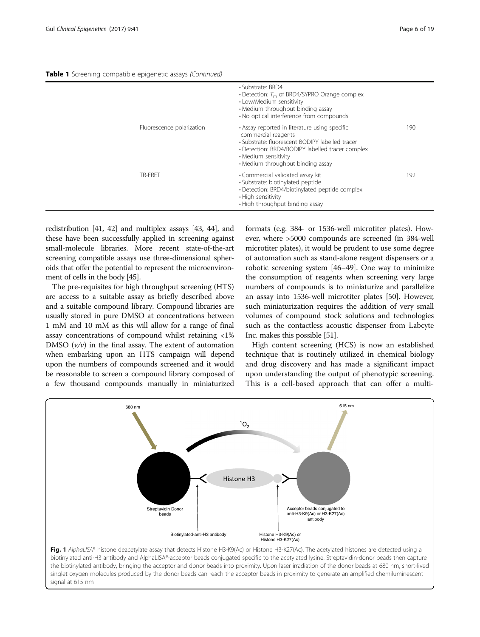<span id="page-5-0"></span>

|  |  | Table 1 Screening compatible epigenetic assays (Continued) |  |  |  |
|--|--|------------------------------------------------------------|--|--|--|
|--|--|------------------------------------------------------------|--|--|--|

|                           | • Substrate: BRD4<br>• Detection: $T_{\rm m}$ of BRD4/SYPRO Orange complex<br>• Low/Medium sensitivity<br>• Medium throughput binding assay<br>• No optical interference from compounds                                                  |     |
|---------------------------|------------------------------------------------------------------------------------------------------------------------------------------------------------------------------------------------------------------------------------------|-----|
| Fluorescence polarization | • Assay reported in literature using specific<br>commercial reagents<br>· Substrate: fluorescent BODIPY labelled tracer<br>• Detection: BRD4/BODIPY labelled tracer complex<br>• Medium sensitivity<br>• Medium throughput binding assay | 190 |
| TR-FRFT                   | • Commercial validated assay kit<br>· Substrate: biotinylated peptide<br>• Detection: BRD4/biotinylated peptide complex<br>• High sensitivity<br>• High throughput binding assay                                                         | 192 |

redistribution [[41](#page-15-0), [42\]](#page-15-0) and multiplex assays [\[43, 44\]](#page-15-0), and these have been successfully applied in screening against small-molecule libraries. More recent state-of-the-art screening compatible assays use three-dimensional spheroids that offer the potential to represent the microenvironment of cells in the body [\[45\]](#page-15-0).

The pre-requisites for high throughput screening (HTS) are access to a suitable assay as briefly described above and a suitable compound library. Compound libraries are usually stored in pure DMSO at concentrations between 1 mM and 10 mM as this will allow for a range of final assay concentrations of compound whilst retaining <1% DMSO  $(v/v)$  in the final assay. The extent of automation when embarking upon an HTS campaign will depend upon the numbers of compounds screened and it would be reasonable to screen a compound library composed of a few thousand compounds manually in miniaturized

formats (e.g. 384- or 1536-well microtiter plates). However, where >5000 compounds are screened (in 384-well microtiter plates), it would be prudent to use some degree of automation such as stand-alone reagent dispensers or a robotic screening system [[46](#page-15-0)–[49\]](#page-15-0). One way to minimize the consumption of reagents when screening very large numbers of compounds is to miniaturize and parallelize an assay into 1536-well microtiter plates [\[50\]](#page-15-0). However, such miniaturization requires the addition of very small volumes of compound stock solutions and technologies such as the contactless acoustic dispenser from Labcyte Inc. makes this possible [[51](#page-15-0)].

High content screening (HCS) is now an established technique that is routinely utilized in chemical biology and drug discovery and has made a significant impact upon understanding the output of phenotypic screening. This is a cell-based approach that can offer a multi-

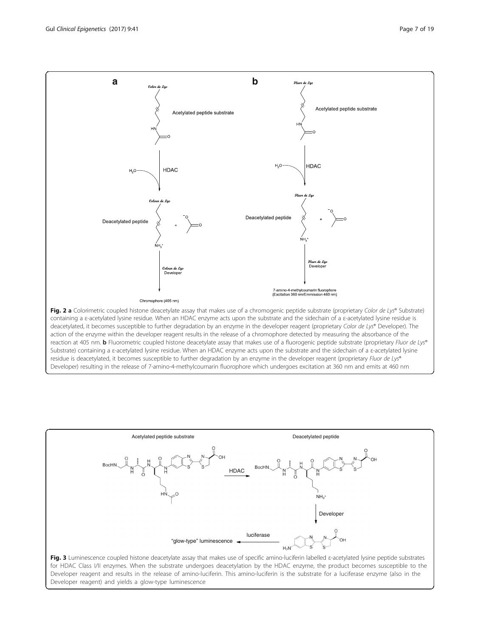<span id="page-6-0"></span>





for HDAC Class I/II enzymes. When the substrate undergoes deacetylation by the HDAC enzyme, the product becomes susceptible to the Developer reagent and results in the release of amino-luciferin. This amino-luciferin is the substrate for a luciferase enzyme (also in the Developer reagent) and yields a glow-type luminescence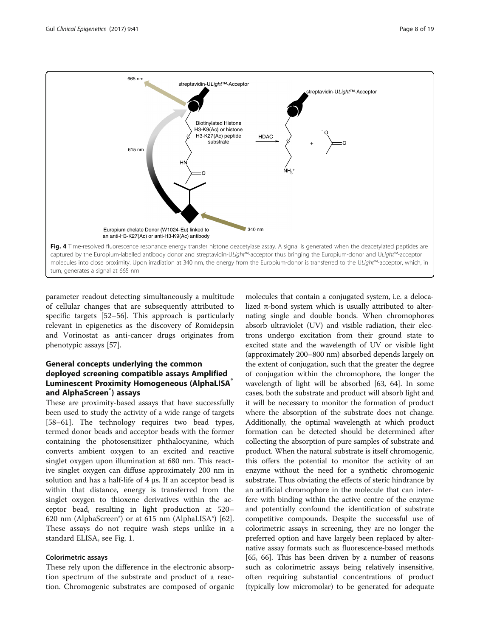<span id="page-7-0"></span>

parameter readout detecting simultaneously a multitude of cellular changes that are subsequently attributed to specific targets [[52](#page-15-0)–[56](#page-15-0)]. This approach is particularly relevant in epigenetics as the discovery of Romidepsin and Vorinostat as anti-cancer drugs originates from phenotypic assays [[57](#page-15-0)].

# General concepts underlying the common deployed screening compatible assays Amplified Luminescent Proximity Homogeneous (AlphaLISA® and AlphaScreen® ) assays

These are proximity-based assays that have successfully been used to study the activity of a wide range of targets [[58](#page-15-0)–[61](#page-15-0)]. The technology requires two bead types, termed donor beads and acceptor beads with the former containing the photosensitizer phthalocyanine, which converts ambient oxygen to an excited and reactive singlet oxygen upon illumination at 680 nm. This reactive singlet oxygen can diffuse approximately 200 nm in solution and has a half-life of 4 μs. If an acceptor bead is within that distance, energy is transferred from the singlet oxygen to thioxene derivatives within the acceptor bead, resulting in light production at 520– 620 nm (AlphaScreen®) or at 615 nm (AlphaLISA®) [\[62](#page-15-0)]. These assays do not require wash steps unlike in a standard ELISA, see Fig. [1](#page-5-0).

#### Colorimetric assays

These rely upon the difference in the electronic absorption spectrum of the substrate and product of a reaction. Chromogenic substrates are composed of organic

molecules that contain a conjugated system, i.e. a delocalized π-bond system which is usually attributed to alternating single and double bonds. When chromophores absorb ultraviolet (UV) and visible radiation, their electrons undergo excitation from their ground state to excited state and the wavelength of UV or visible light (approximately 200–800 nm) absorbed depends largely on the extent of conjugation, such that the greater the degree of conjugation within the chromophore, the longer the wavelength of light will be absorbed [\[63](#page-15-0), [64\]](#page-15-0). In some cases, both the substrate and product will absorb light and it will be necessary to monitor the formation of product where the absorption of the substrate does not change. Additionally, the optimal wavelength at which product formation can be detected should be determined after collecting the absorption of pure samples of substrate and product. When the natural substrate is itself chromogenic, this offers the potential to monitor the activity of an enzyme without the need for a synthetic chromogenic substrate. Thus obviating the effects of steric hindrance by an artificial chromophore in the molecule that can interfere with binding within the active centre of the enzyme and potentially confound the identification of substrate competitive compounds. Despite the successful use of colorimetric assays in screening, they are no longer the preferred option and have largely been replaced by alternative assay formats such as fluorescence-based methods [[65](#page-15-0), [66\]](#page-15-0). This has been driven by a number of reasons such as colorimetric assays being relatively insensitive, often requiring substantial concentrations of product (typically low micromolar) to be generated for adequate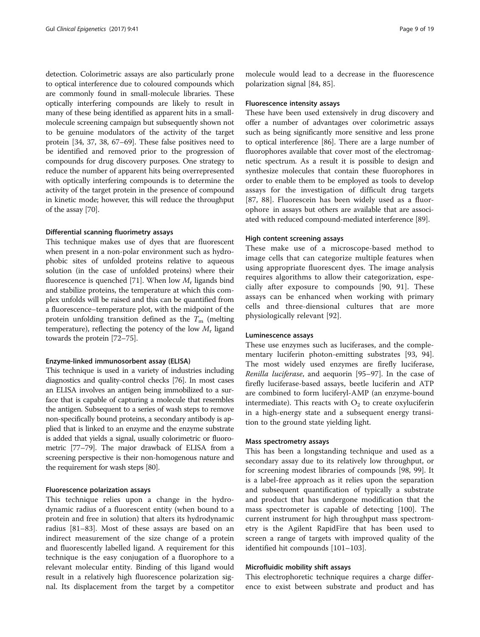detection. Colorimetric assays are also particularly prone to optical interference due to coloured compounds which are commonly found in small-molecule libraries. These optically interfering compounds are likely to result in many of these being identified as apparent hits in a smallmolecule screening campaign but subsequently shown not to be genuine modulators of the activity of the target protein [\[34](#page-15-0), [37](#page-15-0), [38, 67](#page-15-0)–[69\]](#page-15-0). These false positives need to be identified and removed prior to the progression of compounds for drug discovery purposes. One strategy to reduce the number of apparent hits being overrepresented with optically interfering compounds is to determine the activity of the target protein in the presence of compound in kinetic mode; however, this will reduce the throughput of the assay [[70](#page-15-0)].

#### Differential scanning fluorimetry assays

This technique makes use of dyes that are fluorescent when present in a non-polar environment such as hydrophobic sites of unfolded proteins relative to aqueous solution (in the case of unfolded proteins) where their fluorescence is quenched [[71](#page-15-0)]. When low  $M_r$  ligands bind and stabilize proteins, the temperature at which this complex unfolds will be raised and this can be quantified from a fluorescence–temperature plot, with the midpoint of the protein unfolding transition defined as the  $T<sub>m</sub>$  (melting temperature), reflecting the potency of the low  $M_r$  ligand towards the protein [[72](#page-15-0)–[75\]](#page-16-0).

#### Enzyme-linked immunosorbent assay (ELISA)

This technique is used in a variety of industries including diagnostics and quality-control checks [[76](#page-16-0)]. In most cases an ELISA involves an antigen being immobilized to a surface that is capable of capturing a molecule that resembles the antigen. Subsequent to a series of wash steps to remove non-specifically bound proteins, a secondary antibody is applied that is linked to an enzyme and the enzyme substrate is added that yields a signal, usually colorimetric or fluorometric [\[77](#page-16-0)–[79](#page-16-0)]. The major drawback of ELISA from a screening perspective is their non-homogenous nature and the requirement for wash steps [[80](#page-16-0)].

#### Fluorescence polarization assays

This technique relies upon a change in the hydrodynamic radius of a fluorescent entity (when bound to a protein and free in solution) that alters its hydrodynamic radius [[81](#page-16-0)–[83](#page-16-0)]. Most of these assays are based on an indirect measurement of the size change of a protein and fluorescently labelled ligand. A requirement for this technique is the easy conjugation of a fluorophore to a relevant molecular entity. Binding of this ligand would result in a relatively high fluorescence polarization signal. Its displacement from the target by a competitor

molecule would lead to a decrease in the fluorescence polarization signal [[84, 85\]](#page-16-0).

#### Fluorescence intensity assays

These have been used extensively in drug discovery and offer a number of advantages over colorimetric assays such as being significantly more sensitive and less prone to optical interference [[86](#page-16-0)]. There are a large number of fluorophores available that cover most of the electromagnetic spectrum. As a result it is possible to design and synthesize molecules that contain these fluorophores in order to enable them to be employed as tools to develop assays for the investigation of difficult drug targets [[87, 88\]](#page-16-0). Fluorescein has been widely used as a fluorophore in assays but others are available that are associated with reduced compound-mediated interference [[89](#page-16-0)].

#### High content screening assays

These make use of a microscope-based method to image cells that can categorize multiple features when using appropriate fluorescent dyes. The image analysis requires algorithms to allow their categorization, especially after exposure to compounds [[90, 91](#page-16-0)]. These assays can be enhanced when working with primary cells and three-diensional cultures that are more physiologically relevant [\[92](#page-16-0)].

#### Luminescence assays

These use enzymes such as luciferases, and the complementary luciferin photon-emitting substrates [[93, 94](#page-16-0)]. The most widely used enzymes are firefly luciferase, Renilla luciferase, and aequorin [\[95](#page-16-0)–[97](#page-16-0)]. In the case of firefly luciferase-based assays, beetle luciferin and ATP are combined to form luciferyl-AMP (an enzyme-bound intermediate). This reacts with  $O<sub>2</sub>$  to create oxyluciferin in a high-energy state and a subsequent energy transition to the ground state yielding light.

#### Mass spectrometry assays

This has been a longstanding technique and used as a secondary assay due to its relatively low throughput, or for screening modest libraries of compounds [[98, 99](#page-16-0)]. It is a label-free approach as it relies upon the separation and subsequent quantification of typically a substrate and product that has undergone modification that the mass spectrometer is capable of detecting [[100\]](#page-16-0). The current instrument for high throughput mass spectrometry is the Agilent RapidFire that has been used to screen a range of targets with improved quality of the identified hit compounds [[101](#page-16-0)–[103](#page-16-0)].

#### Microfluidic mobility shift assays

This electrophoretic technique requires a charge difference to exist between substrate and product and has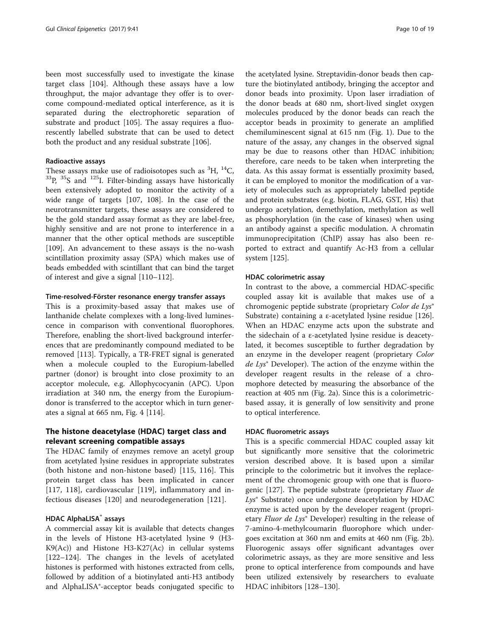been most successfully used to investigate the kinase target class [[104\]](#page-16-0). Although these assays have a low throughput, the major advantage they offer is to overcome compound-mediated optical interference, as it is separated during the electrophoretic separation of substrate and product [\[105\]](#page-16-0). The assay requires a fluorescently labelled substrate that can be used to detect both the product and any residual substrate [\[106\]](#page-16-0).

# Radioactive assays

These assays make use of radioisotopes such as  ${}^{3}H, {}^{14}C,$  $^{33}P$ ,  $^{35}S$  and  $^{125}I$ . Filter-binding assays have historically been extensively adopted to monitor the activity of a wide range of targets [[107](#page-16-0), [108](#page-16-0)]. In the case of the neurotransmitter targets, these assays are considered to be the gold standard assay format as they are label-free, highly sensitive and are not prone to interference in a manner that the other optical methods are susceptible [[109\]](#page-16-0). An advancement to these assays is the no-wash scintillation proximity assay (SPA) which makes use of beads embedded with scintillant that can bind the target of interest and give a signal [\[110](#page-16-0)–[112\]](#page-16-0).

#### Time-resolved-Förster resonance energy transfer assays

This is a proximity-based assay that makes use of lanthanide chelate complexes with a long-lived luminescence in comparison with conventional fluorophores. Therefore, enabling the short-lived background interferences that are predominantly compound mediated to be removed [[113\]](#page-16-0). Typically, a TR-FRET signal is generated when a molecule coupled to the Europium-labelled partner (donor) is brought into close proximity to an acceptor molecule, e.g. Allophycocyanin (APC). Upon irradiation at 340 nm, the energy from the Europiumdonor is transferred to the acceptor which in turn generates a signal at 665 nm, Fig. [4](#page-7-0) [[114](#page-16-0)].

# The histone deacetylase (HDAC) target class and relevant screening compatible assays

The HDAC family of enzymes remove an acetyl group from acetylated lysine residues in appropriate substrates (both histone and non-histone based) [[115](#page-16-0), [116](#page-16-0)]. This protein target class has been implicated in cancer [[117, 118\]](#page-16-0), cardiovascular [[119\]](#page-16-0), inflammatory and infectious diseases [\[120](#page-16-0)] and neurodegeneration [\[121](#page-16-0)].

# HDAC AlphaLISA<sup>®</sup> assays

A commercial assay kit is available that detects changes in the levels of Histone H3-acetylated lysine 9 (H3- K9(Ac)) and Histone H3-K27(Ac) in cellular systems [[122](#page-16-0)–[124](#page-17-0)]. The changes in the levels of acetylated histones is performed with histones extracted from cells, followed by addition of a biotinylated anti-H3 antibody and AlphaLISA®-acceptor beads conjugated specific to

the acetylated lysine. Streptavidin-donor beads then capture the biotinylated antibody, bringing the acceptor and donor beads into proximity. Upon laser irradiation of the donor beads at 680 nm, short-lived singlet oxygen molecules produced by the donor beads can reach the acceptor beads in proximity to generate an amplified chemiluminescent signal at 615 nm (Fig. [1\)](#page-5-0). Due to the nature of the assay, any changes in the observed signal may be due to reasons other than HDAC inhibition; therefore, care needs to be taken when interpreting the data. As this assay format is essentially proximity based, it can be employed to monitor the modification of a variety of molecules such as appropriately labelled peptide and protein substrates (e.g. biotin, FLAG, GST, His) that undergo acetylation, demethylation, methylation as well as phosphorylation (in the case of kinases) when using an antibody against a specific modulation. A chromatin immunoprecipitation (ChIP) assay has also been reported to extract and quantify Ac-H3 from a cellular system [[125](#page-17-0)].

#### HDAC colorimetric assay

In contrast to the above, a commercial HDAC-specific coupled assay kit is available that makes use of a chromogenic peptide substrate (proprietary Color de Lys® Substrate) containing a ε-acetylated lysine residue [[126](#page-17-0)]. When an HDAC enzyme acts upon the substrate and the sidechain of a ε-acetylated lysine residue is deacetylated, it becomes susceptible to further degradation by an enzyme in the developer reagent (proprietary Color de Lys<sup>®</sup> Developer). The action of the enzyme within the developer reagent results in the release of a chromophore detected by measuring the absorbance of the reaction at 405 nm (Fig. [2a\)](#page-6-0). Since this is a colorimetricbased assay, it is generally of low sensitivity and prone to optical interference.

# HDAC fluorometric assays

This is a specific commercial HDAC coupled assay kit but significantly more sensitive that the colorimetric version described above. It is based upon a similar principle to the colorimetric but it involves the replacement of the chromogenic group with one that is fluorogenic [\[127\]](#page-17-0). The peptide substrate (proprietary Fluor de Lys<sup>®</sup> Substrate) once undergone deacetylation by HDAC enzyme is acted upon by the developer reagent (proprietary *Fluor de Lys*<sup>®</sup> Developer) resulting in the release of 7-amino-4-methylcoumarin fluorophore which undergoes excitation at 360 nm and emits at 460 nm (Fig. [2b](#page-6-0)). Fluorogenic assays offer significant advantages over colorimetric assays, as they are more sensitive and less prone to optical interference from compounds and have been utilized extensively by researchers to evaluate HDAC inhibitors [\[128](#page-17-0)–[130\]](#page-17-0).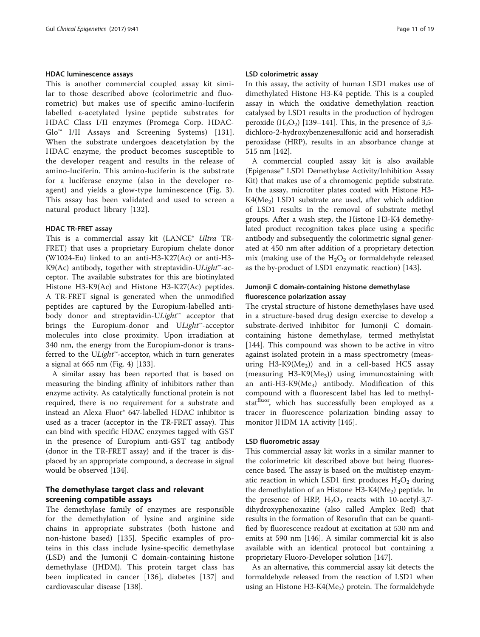#### HDAC luminescence assays

This is another commercial coupled assay kit similar to those described above (colorimetric and fluorometric) but makes use of specific amino-luciferin labelled ε-acetylated lysine peptide substrates for HDAC Class I/II enzymes (Promega Corp. HDAC-Glo™ I/II Assays and Screening Systems) [[131](#page-17-0)]. When the substrate undergoes deacetylation by the HDAC enzyme, the product becomes susceptible to the developer reagent and results in the release of amino-luciferin. This amino-luciferin is the substrate for a luciferase enzyme (also in the developer reagent) and yields a glow-type luminescence (Fig. [3](#page-6-0)). This assay has been validated and used to screen a natural product library [[132](#page-17-0)].

#### HDAC TR-FRET assay

This is a commercial assay kit (LANCE® Ultra TR-FRET) that uses a proprietary Europium chelate donor (W1024-Eu) linked to an anti-H3-K27(Ac) or anti-H3- K9(Ac) antibody, together with streptavidin-ULight™-acceptor. The available substrates for this are biotinylated Histone H3-K9(Ac) and Histone H3-K27(Ac) peptides. A TR-FRET signal is generated when the unmodified peptides are captured by the Europium-labelled antibody donor and streptavidin-ULight<sup>™</sup> acceptor that brings the Europium-donor and ULight™-acceptor molecules into close proximity. Upon irradiation at 340 nm, the energy from the Europium-donor is transferred to the ULight™-acceptor, which in turn generates a signal at 665 nm (Fig. [4\)](#page-7-0) [[133](#page-17-0)].

A similar assay has been reported that is based on measuring the binding affinity of inhibitors rather than enzyme activity. As catalytically functional protein is not required, there is no requirement for a substrate and instead an Alexa Fluor® 647-labelled HDAC inhibitor is used as a tracer (acceptor in the TR-FRET assay). This can bind with specific HDAC enzymes tagged with GST in the presence of Europium anti-GST tag antibody (donor in the TR-FRET assay) and if the tracer is displaced by an appropriate compound, a decrease in signal would be observed [[134](#page-17-0)].

# The demethylase target class and relevant screening compatible assays

The demethylase family of enzymes are responsible for the demethylation of lysine and arginine side chains in appropriate substrates (both histone and non-histone based) [[135](#page-17-0)]. Specific examples of proteins in this class include lysine-specific demethylase (LSD) and the Jumonji C domain-containing histone demethylase (JHDM). This protein target class has been implicated in cancer [[136\]](#page-17-0), diabetes [\[137](#page-17-0)] and cardiovascular disease [[138\]](#page-17-0).

#### LSD colorimetric assay

In this assay, the activity of human LSD1 makes use of dimethylated Histone H3-K4 peptide. This is a coupled assay in which the oxidative demethylation reaction catalysed by LSD1 results in the production of hydrogen peroxide  $(H<sub>2</sub>O<sub>2</sub>)$  [\[139](#page-17-0)–[141\]](#page-17-0). This, in the presence of 3,5dichloro-2-hydroxybenzenesulfonic acid and horseradish peroxidase (HRP), results in an absorbance change at 515 nm [\[142\]](#page-17-0).

A commercial coupled assay kit is also available (Epigenase™ LSD1 Demethylase Activity/Inhibition Assay Kit) that makes use of a chromogenic peptide substrate. In the assay, microtiter plates coated with Histone H3-  $K4(Me<sub>2</sub>)$  LSD1 substrate are used, after which addition of LSD1 results in the removal of substrate methyl groups. After a wash step, the Histone H3-K4 demethylated product recognition takes place using a specific antibody and subsequently the colorimetric signal generated at 450 nm after addition of a proprietary detection mix (making use of the  $H_2O_2$  or formaldehyde released as the by-product of LSD1 enzymatic reaction) [\[143\]](#page-17-0).

# Jumonji C domain-containing histone demethylase fluorescence polarization assay

The crystal structure of histone demethylases have used in a structure-based drug design exercise to develop a substrate-derived inhibitor for Jumonji C domaincontaining histone demethylase, termed methylstat [[144\]](#page-17-0). This compound was shown to be active in vitro against isolated protein in a mass spectrometry (measuring H3-K9( $Me<sub>3</sub>$ ) and in a cell-based HCS assay (measuring H3-K9( $Me<sub>3</sub>$ )) using immunostaining with an anti-H3-K9( $Me<sub>3</sub>$ ) antibody. Modification of this compound with a fluorescent label has led to methylstat<sup>fluor</sup>, which has successfully been employed as a tracer in fluorescence polarization binding assay to monitor JHDM 1A activity [[145\]](#page-17-0).

#### LSD fluorometric assay

This commercial assay kit works in a similar manner to the colorimetric kit described above but being fluorescence based. The assay is based on the multistep enzymatic reaction in which LSD1 first produces  $H_2O_2$  during the demethylation of an Histone H3-K4( $Me<sub>2</sub>$ ) peptide. In the presence of HRP,  $H_2O_2$  reacts with 10-acetyl-3,7dihydroxyphenoxazine (also called Amplex Red) that results in the formation of Resorufin that can be quantified by fluorescence readout at excitation at 530 nm and emits at 590 nm [[146\]](#page-17-0). A similar commercial kit is also available with an identical protocol but containing a proprietary Fluoro-Developer solution [\[147\]](#page-17-0).

As an alternative, this commercial assay kit detects the formaldehyde released from the reaction of LSD1 when using an Histone H3-K4( $Me<sub>2</sub>$ ) protein. The formaldehyde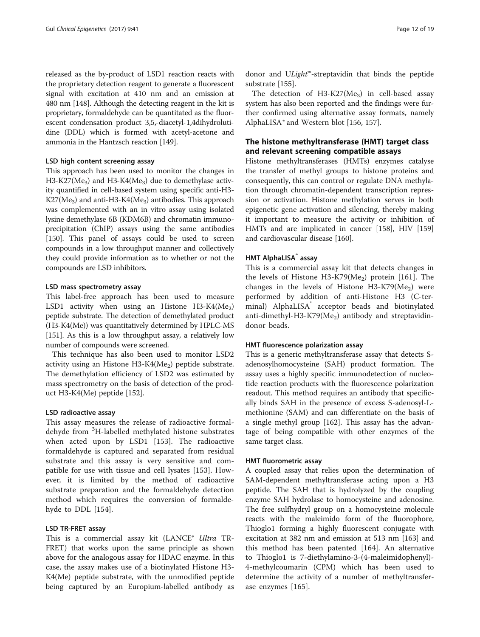released as the by-product of LSD1 reaction reacts with the proprietary detection reagent to generate a fluorescent signal with excitation at 410 nm and an emission at 480 nm [[148](#page-17-0)]. Although the detecting reagent in the kit is proprietary, formaldehyde can be quantitated as the fluorescent condensation product 3,5,-diacetyl-1,4dihydrolutidine (DDL) which is formed with acetyl-acetone and ammonia in the Hantzsch reaction [\[149\]](#page-17-0).

# LSD high content screening assay

This approach has been used to monitor the changes in H3-K27( $Me<sub>3</sub>$ ) and H3-K4( $Me<sub>3</sub>$ ) due to demethylase activity quantified in cell-based system using specific anti-H3-  $K27Me<sub>3</sub>$ ) and anti-H3-K4(Me<sub>3</sub>) antibodies. This approach was complemented with an in vitro assay using isolated lysine demethylase 6B (KDM6B) and chromatin immunoprecipitation (ChIP) assays using the same antibodies [[150](#page-17-0)]. This panel of assays could be used to screen compounds in a low throughput manner and collectively they could provide information as to whether or not the compounds are LSD inhibitors.

#### LSD mass spectrometry assay

This label-free approach has been used to measure LSD1 activity when using an Histone H3-K4( $Me<sub>2</sub>$ ) peptide substrate. The detection of demethylated product (H3-K4(Me)) was quantitatively determined by HPLC-MS [[151](#page-17-0)]. As this is a low throughput assay, a relatively low number of compounds were screened.

This technique has also been used to monitor LSD2 activity using an Histone H3-K4( $Me<sub>2</sub>$ ) peptide substrate. The demethylation efficiency of LSD2 was estimated by mass spectrometry on the basis of detection of the product H3-K4(Me) peptide [\[152\]](#page-17-0).

#### LSD radioactive assay

This assay measures the release of radioactive formaldehyde from <sup>3</sup>H-labelled methylated histone substrates when acted upon by LSD1 [[153](#page-17-0)]. The radioactive formaldehyde is captured and separated from residual substrate and this assay is very sensitive and compatible for use with tissue and cell lysates [[153\]](#page-17-0). However, it is limited by the method of radioactive substrate preparation and the formaldehyde detection method which requires the conversion of formaldehyde to DDL [[154\]](#page-17-0).

#### LSD TR-FRET assay

This is a commercial assay kit (LANCE<sup>®</sup> Ultra TR-FRET) that works upon the same principle as shown above for the analogous assay for HDAC enzyme. In this case, the assay makes use of a biotinylated Histone H3- K4(Me) peptide substrate, with the unmodified peptide being captured by an Europium-labelled antibody as

donor and ULight™-streptavidin that binds the peptide substrate [[155](#page-17-0)].

The detection of H3-K27( $Me<sub>3</sub>$ ) in cell-based assay system has also been reported and the findings were further confirmed using alternative assay formats, namely AlphaLISA® and Western blot [\[156](#page-17-0), [157](#page-17-0)].

# The histone methyltransferase (HMT) target class and relevant screening compatible assays

Histone methyltransferases (HMTs) enzymes catalyse the transfer of methyl groups to histone proteins and consequently, this can control or regulate DNA methylation through chromatin-dependent transcription repression or activation. Histone methylation serves in both epigenetic gene activation and silencing, thereby making it important to measure the activity or inhibition of HMTs and are implicated in cancer [[158](#page-17-0)], HIV [[159](#page-17-0)] and cardiovascular disease [[160\]](#page-17-0).

#### HMT AlphaLISA® assay

This is a commercial assay kit that detects changes in the levels of Histone H3-K79( $Me<sub>2</sub>$ ) protein [\[161\]](#page-17-0). The changes in the levels of Histone H3-K79( $Me<sub>2</sub>$ ) were performed by addition of anti-Histone H3 (C-terminal) AlphaLISA<sup>®</sup> acceptor beads and biotinylated anti-dimethyl-H3-K79( $Me<sub>2</sub>$ ) antibody and streptavidindonor beads.

#### HMT fluorescence polarization assay

This is a generic methyltransferase assay that detects Sadenosylhomocysteine (SAH) product formation. The assay uses a highly specific immunodetection of nucleotide reaction products with the fluorescence polarization readout. This method requires an antibody that specifically binds SAH in the presence of excess S-adenosyl-Lmethionine (SAM) and can differentiate on the basis of a single methyl group [[162](#page-17-0)]. This assay has the advantage of being compatible with other enzymes of the same target class.

# HMT fluorometric assay

A coupled assay that relies upon the determination of SAM-dependent methyltransferase acting upon a H3 peptide. The SAH that is hydrolyzed by the coupling enzyme SAH hydrolase to homocysteine and adenosine. The free sulfhydryl group on a homocysteine molecule reacts with the maleimido form of the fluorophore, Thioglo1 forming a highly fluorescent conjugate with excitation at 382 nm and emission at 513 nm [\[163\]](#page-17-0) and this method has been patented [\[164](#page-17-0)]. An alternative to Thioglo1 is 7-diethylamino-3-(4-maleimidophenyl)- 4-methylcoumarin (CPM) which has been used to determine the activity of a number of methyltransferase enzymes [\[165](#page-17-0)].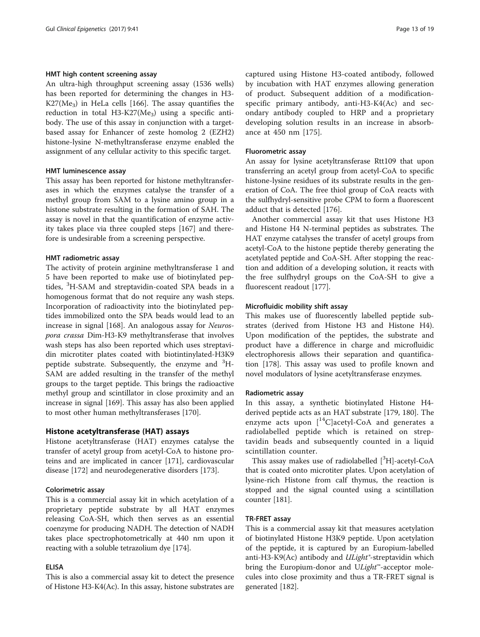#### HMT high content screening assay

An ultra-high throughput screening assay (1536 wells) has been reported for determining the changes in H3-  $K27Me<sub>3</sub>$ ) in HeLa cells [\[166\]](#page-17-0). The assay quantifies the reduction in total H3-K27( $Me<sub>3</sub>$ ) using a specific antibody. The use of this assay in conjunction with a targetbased assay for Enhancer of zeste homolog 2 (EZH2) histone-lysine N-methyltransferase enzyme enabled the assignment of any cellular activity to this specific target.

#### HMT luminescence assay

This assay has been reported for histone methyltransferases in which the enzymes catalyse the transfer of a methyl group from SAM to a lysine amino group in a histone substrate resulting in the formation of SAH. The assay is novel in that the quantification of enzyme activity takes place via three coupled steps [[167\]](#page-17-0) and therefore is undesirable from a screening perspective.

#### HMT radiometric assay

The activity of protein arginine methyltransferase 1 and 5 have been reported to make use of biotinylated peptides, <sup>3</sup>H-SAM and streptavidin-coated SPA beads in a homogenous format that do not require any wash steps. Incorporation of radioactivity into the biotinylated peptides immobilized onto the SPA beads would lead to an increase in signal [\[168\]](#page-17-0). An analogous assay for Neurospora crassa Dim-H3-K9 methyltransferase that involves wash steps has also been reported which uses streptavidin microtiter plates coated with biotintinylated-H3K9 peptide substrate. Subsequently, the enzyme and <sup>3</sup>H-SAM are added resulting in the transfer of the methyl groups to the target peptide. This brings the radioactive methyl group and scintillator in close proximity and an increase in signal [\[169\]](#page-17-0). This assay has also been applied to most other human methyltransferases [\[170\]](#page-17-0).

# Histone acetyltransferase (HAT) assays

Histone acetyltransferase (HAT) enzymes catalyse the transfer of acetyl group from acetyl-CoA to histone proteins and are implicated in cancer [[171\]](#page-17-0), cardiovascular disease [\[172](#page-17-0)] and neurodegenerative disorders [[173\]](#page-18-0).

#### Colorimetric assay

This is a commercial assay kit in which acetylation of a proprietary peptide substrate by all HAT enzymes releasing CoA-SH, which then serves as an essential coenzyme for producing NADH. The detection of NADH takes place spectrophotometrically at 440 nm upon it reacting with a soluble tetrazolium dye [\[174\]](#page-18-0).

#### ELISA

This is also a commercial assay kit to detect the presence of Histone H3-K4(Ac). In this assay, histone substrates are captured using Histone H3-coated antibody, followed by incubation with HAT enzymes allowing generation of product. Subsequent addition of a modificationspecific primary antibody, anti-H3-K4(Ac) and secondary antibody coupled to HRP and a proprietary developing solution results in an increase in absorbance at 450 nm [\[175](#page-18-0)].

#### Fluorometric assay

An assay for lysine acetyltransferase Rtt109 that upon transferring an acetyl group from acetyl-CoA to specific histone-lysine residues of its substrate results in the generation of CoA. The free thiol group of CoA reacts with the sulfhydryl-sensitive probe CPM to form a fluorescent adduct that is detected [\[176\]](#page-18-0).

Another commercial assay kit that uses Histone H3 and Histone H4 N-terminal peptides as substrates. The HAT enzyme catalyses the transfer of acetyl groups from acetyl-CoA to the histone peptide thereby generating the acetylated peptide and CoA-SH. After stopping the reaction and addition of a developing solution, it reacts with the free sulfhydryl groups on the CoA-SH to give a fluorescent readout [\[177\]](#page-18-0).

#### Microfluidic mobility shift assay

This makes use of fluorescently labelled peptide substrates (derived from Histone H3 and Histone H4). Upon modification of the peptides, the substrate and product have a difference in charge and microfluidic electrophoresis allows their separation and quantification [\[178\]](#page-18-0). This assay was used to profile known and novel modulators of lysine acetyltransferase enzymes.

#### Radiometric assay

In this assay, a synthetic biotinylated Histone H4 derived peptide acts as an HAT substrate [[179](#page-18-0), [180](#page-18-0)]. The enzyme acts upon  $[{}^{14}C]$ acetyl-CoA and generates a radiolabelled peptide which is retained on streptavidin beads and subsequently counted in a liquid scintillation counter.

This assay makes use of radiolabelled [<sup>3</sup>H]-acetyl-CoA that is coated onto microtiter plates. Upon acetylation of lysine-rich Histone from calf thymus, the reaction is stopped and the signal counted using a scintillation counter [\[181](#page-18-0)].

#### TR-FRET assay

This is a commercial assay kit that measures acetylation of biotinylated Histone H3K9 peptide. Upon acetylation of the peptide, it is captured by an Europium-labelled anti-H3-K9(Ac) antibody and *ULight*®-streptavidin which bring the Europium-donor and ULight<sup>™</sup>-acceptor molecules into close proximity and thus a TR-FRET signal is generated [[182](#page-18-0)].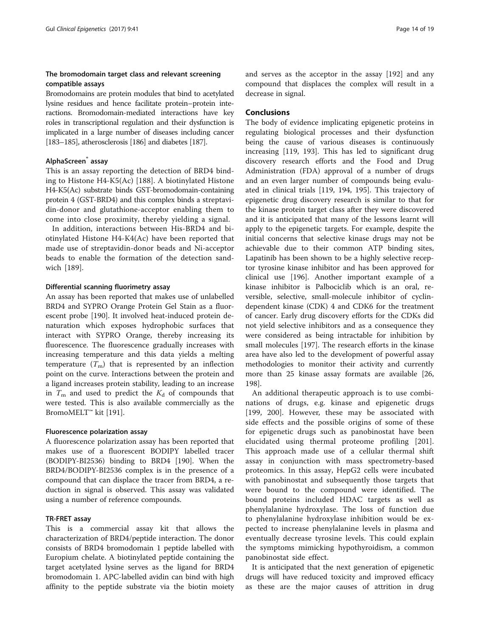# The bromodomain target class and relevant screening compatible assays

Bromodomains are protein modules that bind to acetylated lysine residues and hence facilitate protein–protein interactions. Bromodomain-mediated interactions have key roles in transcriptional regulation and their dysfunction is implicated in a large number of diseases including cancer [[183](#page-18-0)–[185\]](#page-18-0), atherosclerosis [\[186](#page-18-0)] and diabetes [\[187](#page-18-0)].

# AlphaScreen® assay

This is an assay reporting the detection of BRD4 binding to Histone H4-K5(Ac) [[188](#page-18-0)]. A biotinylated Histone H4-K5(Ac) substrate binds GST-bromodomain-containing protein 4 (GST-BRD4) and this complex binds a streptavidin-donor and glutathione-acceptor enabling them to come into close proximity, thereby yielding a signal.

In addition, interactions between His-BRD4 and biotinylated Histone H4-K4(Ac) have been reported that made use of streptavidin-donor beads and Ni-acceptor beads to enable the formation of the detection sandwich [\[189](#page-18-0)].

#### Differential scanning fluorimetry assay

An assay has been reported that makes use of unlabelled BRD4 and SYPRO Orange Protein Gel Stain as a fluorescent probe [\[190\]](#page-18-0). It involved heat-induced protein denaturation which exposes hydrophobic surfaces that interact with SYPRO Orange, thereby increasing its fluorescence. The fluorescence gradually increases with increasing temperature and this data yields a melting temperature  $(T_m)$  that is represented by an inflection point on the curve. Interactions between the protein and a ligand increases protein stability, leading to an increase in  $T_m$  and used to predict the  $K_d$  of compounds that were tested. This is also available commercially as the BromoMELT™ kit [[191](#page-18-0)].

#### Fluorescence polarization assay

A fluorescence polarization assay has been reported that makes use of a fluorescent BODIPY labelled tracer (BODIPY-BI2536) binding to BRD4 [[190](#page-18-0)]. When the BRD4/BODIPY-BI2536 complex is in the presence of a compound that can displace the tracer from BRD4, a reduction in signal is observed. This assay was validated using a number of reference compounds.

#### TR-FRET assay

This is a commercial assay kit that allows the characterization of BRD4/peptide interaction. The donor consists of BRD4 bromodomain 1 peptide labelled with Europium chelate. A biotinylated peptide containing the target acetylated lysine serves as the ligand for BRD4 bromodomain 1. APC-labelled avidin can bind with high affinity to the peptide substrate via the biotin moiety

and serves as the acceptor in the assay [\[192\]](#page-18-0) and any compound that displaces the complex will result in a decrease in signal.

### Conclusions

The body of evidence implicating epigenetic proteins in regulating biological processes and their dysfunction being the cause of various diseases is continuously increasing [\[119](#page-16-0), [193\]](#page-18-0). This has led to significant drug discovery research efforts and the Food and Drug Administration (FDA) approval of a number of drugs and an even larger number of compounds being evaluated in clinical trials [[119,](#page-16-0) [194, 195\]](#page-18-0). This trajectory of epigenetic drug discovery research is similar to that for the kinase protein target class after they were discovered and it is anticipated that many of the lessons learnt will apply to the epigenetic targets. For example, despite the initial concerns that selective kinase drugs may not be achievable due to their common ATP binding sites, Lapatinib has been shown to be a highly selective receptor tyrosine kinase inhibitor and has been approved for clinical use [[196](#page-18-0)]. Another important example of a kinase inhibitor is Palbociclib which is an oral, reversible, selective, small-molecule inhibitor of cyclindependent kinase (CDK) 4 and CDK6 for the treatment of cancer. Early drug discovery efforts for the CDKs did not yield selective inhibitors and as a consequence they were considered as being intractable for inhibition by small molecules [[197](#page-18-0)]. The research efforts in the kinase area have also led to the development of powerful assay methodologies to monitor their activity and currently more than 25 kinase assay formats are available [[26](#page-15-0), [198](#page-18-0)].

An additional therapeutic approach is to use combinations of drugs, e.g. kinase and epigenetic drugs [[199, 200\]](#page-18-0). However, these may be associated with side effects and the possible origins of some of these for epigenetic drugs such as panobinostat have been elucidated using thermal proteome profiling [\[201](#page-18-0)]. This approach made use of a cellular thermal shift assay in conjunction with mass spectrometry-based proteomics. In this assay, HepG2 cells were incubated with panobinostat and subsequently those targets that were bound to the compound were identified. The bound proteins included HDAC targets as well as phenylalanine hydroxylase. The loss of function due to phenylalanine hydroxylase inhibition would be expected to increase phenylalanine levels in plasma and eventually decrease tyrosine levels. This could explain the symptoms mimicking hypothyroidism, a common panobinostat side effect.

It is anticipated that the next generation of epigenetic drugs will have reduced toxicity and improved efficacy as these are the major causes of attrition in drug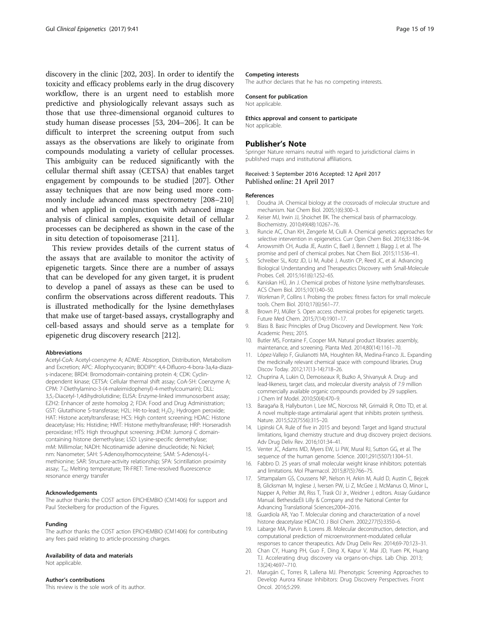<span id="page-14-0"></span>discovery in the clinic [[202, 203\]](#page-18-0). In order to identify the toxicity and efficacy problems early in the drug discovery workflow, there is an urgent need to establish more predictive and physiologically relevant assays such as those that use three-dimensional organoid cultures to study human disease processes [[53](#page-15-0), [204](#page-18-0)–[206\]](#page-18-0). It can be difficult to interpret the screening output from such assays as the observations are likely to originate from compounds modulating a variety of cellular processes. This ambiguity can be reduced significantly with the cellular thermal shift assay (CETSA) that enables target engagement by compounds to be studied [[207](#page-18-0)]. Other assay techniques that are now being used more commonly include advanced mass spectrometry [\[208](#page-18-0)–[210](#page-18-0)] and when applied in conjunction with advanced image analysis of clinical samples, exquisite detail of cellular processes can be deciphered as shown in the case of the in situ detection of topoisomerase [\[211\]](#page-18-0).

This review provides details of the current status of the assays that are available to monitor the activity of epigenetic targets. Since there are a number of assays that can be developed for any given target, it is prudent to develop a panel of assays as these can be used to confirm the observations across different readouts. This is illustrated methodically for the lysine demethylases that make use of target-based assays, crystallography and cell-based assays and should serve as a template for epigenetic drug discovery research [[212\]](#page-18-0).

#### Abbreviations

Acetyl-CoA: Acetyl-coenzyme A; ADME: Absorption, Distribution, Metabolism and Excretion; APC: Allophycocyanin; BODIPY: 4,4-Difluoro-4-bora-3a,4a-diazas-indacene; BRD4: Bromodomain-containing protein 4; CDK: Cyclindependent kinase; CETSA: Cellular thermal shift assay; CoA-SH: Coenzyme A; CPM: 7-Diethylamino-3-(4-maleimidophenyl)-4-methylcoumarin); DLL: 3,5,-Diacetyl-1,4dihydrolutidine; ELISA: Enzyme-linked immunosorbent assay; EZH2: Enhancer of zeste homolog 2; FDA: Food and Drug Administration; GST: Glutathione S-transferase; H2L: Hit-to-lead; H<sub>2</sub>O<sub>2</sub>: Hydrogen peroxide; HAT: Histone acetyltransferase; HCS: High content screening; HDAC: Histone deacetylase; His: Histidine; HMT: Histone methyltransferase; HRP: Horseradish peroxidase; HTS: High throughput screening; JHDM: Jumonji C domaincontaining histone demethylase; LSD: Lysine-specific demethylase; mM: Millimolar; NADH: Nicotinamide adenine dinucleotide; Ni: Nickel; nm: Nanometer; SAH: S-Adenosylhomocysteine; SAM: S-Adenosyl-Lmethionine; SAR: Structure-activity relationship; SPA: Scintillation proximity assay;  $T_m$ : Melting temperature; TR-FRET: Time-resolved fluorescence resonance energy transfer

#### Acknowledgements

The author thanks the COST action EPICHEMBIO (CM1406) for support and Paul Steckelberg for production of the Figures.

#### Funding

The author thanks the COST action EPICHEMBIO (CM1406) for contributing any fees paid relating to article-processing charges.

#### Availability of data and materials

Not applicable.

#### Author's contributions

This review is the sole work of its author.

#### Competing interests

The author declares that he has no competing interests.

#### Consent for publication

Not applicable

# Ethics approval and consent to participate

Not applicable.

#### Publisher's Note

Springer Nature remains neutral with regard to jurisdictional claims in published maps and institutional affiliations.

#### Received: 3 September 2016 Accepted: 12 April 2017 Published online: 21 April 2017

#### References

- 1. Doudna JA. Chemical biology at the crossroads of molecular structure and mechanism. Nat Chem Biol. 2005;1(6):300–3.
- 2. Keiser MJ, Irwin JJ, Shoichet BK. The chemical basis of pharmacology. Biochemistry. 2010;49(48):10267–76.
- 3. Runcie AC, Chan KH, Zengerle M, Ciulli A. Chemical genetics approaches for selective intervention in epigenetics. Curr Opin Chem Biol. 2016;33:186–94.
- 4. Arrowsmith CH, Audia JE, Austin C, Baell J, Bennett J, Blagg J, et al. The promise and peril of chemical probes. Nat Chem Biol. 2015;11:536–41.
- 5. Schreiber SL, Kotz JD, Li M, Aubé J, Austin CP, Reed JC, et al. Advancing Biological Understanding and Therapeutics Discovery with Small-Molecule Probes. Cell. 2015;161(6):1252–65.
- 6. Kaniskan HÜ, Jin J. Chemical probes of histone lysine methyltransferases. ACS Chem Biol. 2015;10(1):40–50.
- 7. Workman P, Collins I. Probing the probes: fitness factors for small molecule tools. Chem Biol. 2010;17(6):561–77.
- 8. Brown PJ, Müller S. Open access chemical probes for epigenetic targets. Future Med Chem. 2015;7(14):1901–17.
- 9. Blass B. Basic Principles of Drug Discovery and Development. New York: Academic Press; 2015.
- 10. Butler MS, Fontaine F, Cooper MA. Natural product libraries: assembly, maintenance, and screening. Planta Med. 2014;80(14):1161–70.
- 11. López-Vallejo F, Giulianotti MA, Houghten RA, Medina-Franco JL. Expanding the medicinally relevant chemical space with compound libraries. Drug Discov Today. 2012;17(13-14):718–26.
- 12. Chuprina A, Lukin O, Demoiseaux R, Buzko A, Shivanyuk A. Drug- and lead-likeness, target class, and molecular diversity analysis of 7.9 million commercially available organic compounds provided by 29 suppliers. J Chem Inf Model. 2010;50(4):470–9.
- 13. Baragaña B, Hallyburton I, Lee MC, Norcross NR, Grimaldi R, Otto TD, et al. A novel multiple-stage antimalarial agent that inhibits protein synthesis. Nature. 2015;522(7556):315–20.
- 14. Lipinski CA. Rule of five in 2015 and beyond: Target and ligand structural limitations, ligand chemistry structure and drug discovery project decisions. Adv Drug Deliv Rev. 2016;101:34–41.
- 15. Venter JC, Adams MD, Myers EW, Li PW, Mural RJ, Sutton GG, et al. The sequence of the human genome. Science. 2001;291(5507):1304–51.
- 16. Fabbro D. 25 years of small molecular weight kinase inhibitors: potentials and limitations. Mol Pharmacol. 2015;87(5):766–75.
- 17. Sittampalam GS, Coussens NP, Nelson H, Arkin M, Auld D, Austin C, Bejcek B, Glicksman M, Inglese J, Iversen PW, Li Z, McGee J, McManus O, Minor L, Napper A, Peltier JM, Riss T, Trask OJ Jr., Weidner J, editors. Assay Guidance Manual. Bethesda:Eli Lilly & Company and the National Center for Advancing Translational Sciences;2004–2016.
- 18. Guardiola AR, Yao T. Molecular cloning and characterization of a novel histone deacetylase HDAC10. J Biol Chem. 2002;277(5):3350–6.
- 19. Labarge MA, Parvin B, Lorens JB. Molecular deconstruction, detection, and computational prediction of microenvironment-modulated cellular responses to cancer therapeutics. Adv Drug Deliv Rev. 2014;69-70:123–31.
- 20. Chan CY, Huang PH, Guo F, Ding X, Kapur V, Mai JD, Yuen PK, Huang TJ. Accelerating drug discovery via organs-on-chips. Lab Chip. 2013; 13(24):4697–710.
- 21. Marugán C, Torres R, Lallena MJ. Phenotypic Screening Approaches to Develop Aurora Kinase Inhibitors: Drug Discovery Perspectives. Front Oncol. 2016;5:299.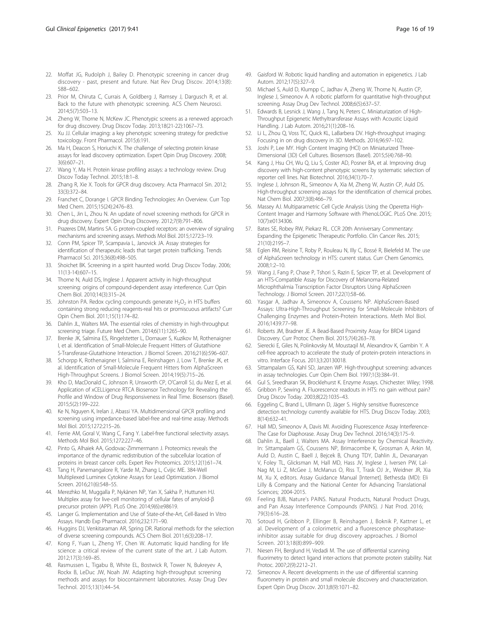- <span id="page-15-0"></span>22. Moffat JG, Rudolph J, Bailey D. Phenotypic screening in cancer drug discovery - past, present and future. Nat Rev Drug Discov. 2014;13(8): 588–602.
- 23. Prior M, Chiruta C, Currais A, Goldberg J, Ramsey J, Dargusch R, et al. Back to the future with phenotypic screening. ACS Chem Neurosci. 2014;5(7):503–13.
- 24. Zheng W, Thorne N, McKew JC. Phenotypic screens as a renewed approach for drug discovery. Drug Discov Today. 2013;18(21-22):1067–73.
- 25. Xu JJ. Cellular imaging: a key phenotypic screening strategy for predictive toxicology. Front Pharmacol. 2015;6:191.
- 26. Ma H, Deacon S, Horiuchi K. The challenge of selecting protein kinase assays for lead discovery optimization. Expert Opin Drug Discovery. 2008; 3(6):607–21.
- 27. Wang Y, Ma H. Protein kinase profiling assays: a technology review. Drug Discov Today Technol. 2015;18:1–8.
- 28. Zhang R, Xie X. Tools for GPCR drug discovery. Acta Pharmacol Sin. 2012; 33(3):372–84.
- 29. Franchet C, Dorange I. GPCR Binding Technologies: An Overview. Curr Top Med Chem. 2015;15(24):2476–83.
- 30. Chen L, Jin L, Zhou N. An update of novel screening methods for GPCR in drug discovery. Expert Opin Drug Discovery. 2012;7(9):791–806.
- 31. Prazeres DM, Martins SA. G protein-coupled receptors: an overview of signaling mechanisms and screening assays. Methods Mol Biol. 2015;1272:3–19.
- 32. Conn PM, Spicer TP, Scampavia L, Janovick JA. Assay strategies for identification of therapeutic leads that target protein trafficking. Trends Pharmacol Sci. 2015;36(8):498–505.
- 33. Shoichet BK. Screening in a spirit haunted world. Drug Discov Today. 2006; 11(13-14):607–15.
- 34. Thorne N, Auld DS, Inglese J. Apparent activity in high-throughput screening: origins of compound-dependent assay interference. Curr Opin Chem Biol. 2010;14(3):315–24.
- 35. Johnston PA. Redox cycling compounds generate  $H_2O_2$  in HTS buffers containing strong reducing reagents-real hits or promiscuous artifacts? Curr Opin Chem Biol. 2011;15(1):174–82.
- 36. Dahlin JL, Walters MA. The essential roles of chemistry in high-throughput screening triage. Future Med Chem. 2014;6(11):1265–90.
- 37. Brenke JK, Salmina ES, Ringelstetter L, Dornauer S, Kuzikov M, Rothenaigner I, et al. Identification of Small-Molecule Frequent Hitters of Glutathione S-Transferase-Glutathione Interaction. J Biomol Screen. 2016;21(6):596–607.
- 38. Schorpp K, Rothenaigner I, Salmina E, Reinshagen J, Low T, Brenke JK, et al. Identification of Small-Molecule Frequent Hitters from AlphaScreen High-Throughput Screens. J Biomol Screen. 2014;19(5):715–26.
- 39. Kho D, MacDonald C, Johnson R, Unsworth CP, O'Carroll SJ, du Mez E, et al. Application of xCELLigence RTCA Biosensor Technology for Revealing the Profile and Window of Drug Responsiveness in Real Time. Biosensors (Basel). 2015;5(2):199–222.
- 40. Ke N, Nguyen K, Irelan J, Abassi YA. Multidimensional GPCR profiling and screening using impedance-based label-free and real-time assay. Methods Mol Biol. 2015;1272:215–26.
- 41. Ferrie AM, Goral V, Wang C, Fang Y. Label-free functional selectivity assays. Methods Mol Biol. 2015;1272:227–46.
- 42. Pinto G, Alhaiek AA, Godovac-Zimmermann J. Proteomics reveals the importance of the dynamic redistribution of the subcellular location of proteins in breast cancer cells. Expert Rev Proteomics. 2015;12(1):61–74.
- 43. Tang H, Panemangalore R, Yarde M, Zhang L, Cvijic ME. 384-Well Multiplexed Luminex Cytokine Assays for Lead Optimization. J Biomol Screen. 2016;21(6):548–55.
- 44. Merezhko M, Muggalla P, Nykänen NP, Yan X, Sakha P, Huttunen HJ. Multiplex assay for live-cell monitoring of cellular fates of amyloid-β precursor protein (APP). PLoS One. 2014;9(6):e98619.
- 45. Langer G. Implementation and Use of State-of-the-Art, Cell-Based In Vitro Assays. Handb Exp Pharmacol. 2016;232:171–90.
- 46. Huggins DJ, Venkitaraman AR, Spring DR. Rational methods for the selection of diverse screening compounds. ACS Chem Biol. 2011;6(3):208–17.
- 47. Kong F, Yuan L, Zheng YF, Chen W. Automatic liquid handling for life science: a critical review of the current state of the art. J Lab Autom. 2012;17(3):169–85.
- 48. Rasmussen L, Tigabu B, White EL, Bostwick R, Tower N, Bukreyev A, Rockx B, LeDuc JW, Noah JW. Adapting high-throughput screening methods and assays for biocontainment laboratories. Assay Drug Dev Technol. 2015;13(1):44–54.
- 49. Gaisford W. Robotic liquid handling and automation in epigenetics. J Lab Autom. 2012;17(5):327–9.
- 50. Michael S, Auld D, Klumpp C, Jadhav A, Zheng W, Thorne N, Austin CP, Inglese J, Simeonov A. A robotic platform for quantitative high-throughput screening. Assay Drug Dev Technol. 2008;6(5):637–57.
- 51. Edwards B, Lesnick J, Wang J, Tang N, Peters C. Miniaturization of High-Throughput Epigenetic Methyltransferase Assays with Acoustic Liquid Handling. J Lab Autom. 2016;21(1):208–16.
- 52. Li L, Zhou Q, Voss TC, Quick KL, LaBarbera DV. High-throughput imaging: Focusing in on drug discovery in 3D. Methods. 2016;96:97–102.
- Joshi P, Lee MY. High Content Imaging (HCI) on Miniaturized Three-Dimensional (3D) Cell Cultures. Biosensors (Basel). 2015;5(4):768–90.
- 54. Kang J, Hsu CH, Wu Q, Liu S, Coster AD, Posner BA, et al. Improving drug discovery with high-content phenotypic screens by systematic selection of reporter cell lines. Nat Biotechnol. 2016;34(1):70–7.
- 55. Inglese J, Johnson RL, Simeonov A, Xia M, Zheng W, Austin CP, Auld DS. High-throughput screening assays for the identification of chemical probes. Nat Chem Biol. 2007;3(8):466–79.
- 56. Massey AJ. Multiparametric Cell Cycle Analysis Using the Operetta High-Content Imager and Harmony Software with PhenoLOGIC. PLoS One. 2015; 10(7):e0134306.
- Bates SE, Robey RW, Piekarz RL. CCR 20th Anniversary Commentary: Expanding the Epigenetic Therapeutic Portfolio. Clin Cancer Res. 2015; 21(10):2195–7.
- 58. Eglen RM, Reisine T, Roby P, Rouleau N, Illy C, Bossé R, Bielefeld M. The use of AlphaScreen technology in HTS: current status. Curr Chem Genomics. 2008;1:2–10.
- 59. Wang J, Fang P, Chase P, Tshori S, Razin E, Spicer TP, et al. Development of an HTS-Compatible Assay for Discovery of Melanoma-Related Microphthalmia Transcription Factor Disruptors Using AlphaScreen Technology. J Biomol Screen. 2017;22(1):58–66.
- 60. Yasgar A, Jadhav A, Simeonov A, Coussens NP. AlphaScreen-Based Assays: Ultra-High-Throughput Screening for Small-Molecule Inhibitors of Challenging Enzymes and Protein-Protein Interactions. Meth Mol Biol. 2016;1439:77–98.
- 61. Roberts JM, Bradner JE. A Bead-Based Proximity Assay for BRD4 Ligand Discovery. Curr Protoc Chem Biol. 2015;7(4):263–78.
- 62. Sierecki E, Giles N, Polinkovsky M, Moustaqil M, Alexandrov K, Gambin Y. A cell-free approach to accelerate the study of protein-protein interactions in vitro. Interface Focus. 2013;3:20130018.
- 63. Sittampalam GS, Kahl SD, Janzen WP. High-throughput screening: advances in assay technologies. Curr Opin Chem Biol. 1997;1(3):384–91.
- 64. Gul S, Sreedharan SK, Brocklehurst K. Enzyme Assays. Chichester: Wiley; 1998. 65. Gribbon P, Sewing A. Fluorescence readouts in HTS: no gain without pain?
- Drug Discov Today. 2003;8(22):1035–43. 66. Eggeling C, Brand L, Ullmann D, Jäger S. Highly sensitive fluorescence
- detection technology currently available for HTS. Drug Discov Today. 2003; 8(14):632–41.
- 67. Hall MD, Simeonov A, Davis MI. Avoiding Fluorescence Assay Interference-The Case for Diaphorase. Assay Drug Dev Technol. 2016;14(3):175–9.
- Dahlin JL, Baell J, Walters MA. Assay Interference by Chemical Reactivity. In: Sittampalam GS, Coussens NP, Brimacombe K, Grossman A, Arkin M, Auld D, Austin C, Baell J, Bejcek B, Chung TDY, Dahlin JL, Devanaryan V, Foley TL, Glicksman M, Hall MD, Hass JV, Inglese J, Iversen PW, Lal-Nag M, Li Z, McGee J, McManus O, Riss T, Trask OJ Jr., Weidner JR, Xia M, Xu X, editors. Assay Guidance Manual [Internet]. Bethesda (MD): Eli Lilly & Company and the National Center for Advancing Translational Sciences; 2004-2015.
- 69. Feeling BJB, Nature's PAINS. Natural Products, Natural Product Drugs, and Pan Assay Interference Compounds (PAINS). J Nat Prod. 2016; 79(3):616–28.
- 70. Sotoud H, Gribbon P, Ellinger B, Reinshagen J, Boknik P, Kattner L, et al. Development of a colorimetric and a fluorescence phosphataseinhibitor assay suitable for drug discovery approaches. J Biomol Screen. 2013;18(8):899–909.
- 71. Niesen FH, Berglund H, Vedadi M. The use of differential scanning fluorimetry to detect ligand inter-actions that promote protein stability. Nat Protoc. 2007;2(9):2212–21.
- 72. Simeonov A. Recent developments in the use of differential scanning fluorometry in protein and small molecule discovery and characterization. Expert Opin Drug Discov. 2013;8(9):1071–82.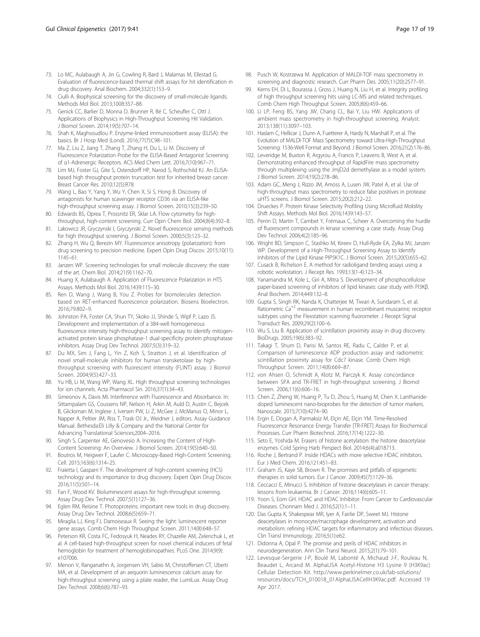- <span id="page-16-0"></span>73. Lo MC, Aulabaugh A, Jin G, Cowling R, Bard J, Malamas M, Ellestad G. Evaluation of fluorescence-based thermal shift assays for hit identification in drug discovery. Anal Biochem. 2004;332(1):153–9.
- 74. Ciulli A. Biophysical screening for the discovery of small-molecule ligands. Methods Mol Biol. 2013;1008:357–88.
- 75. Genick CC, Barlier D, Monna D, Brunner R, Bé C, Scheufler C, Ottl J. Applications of Biophysics in High-Throughput Screening Hit Validation. J Biomol Screen. 2014;19(5):707–14.
- 76. Shah K, Maghsoudlou P. Enzyme-linked immunosorbent assay (ELISA): the basics. Br J Hosp Med (Lond). 2016;77(7):C98–101.
- 77. Ma Z, Liu Z, Jiang T, Zhang T, Zhang H, Du L, Li M. Discovery of Fluorescence Polarization Probe for the ELISA-Based Antagonist Screening of α1-Adrenergic Receptors. ACS Med Chem Lett. 2016;7(10):967–71.
- 78. Lim MJ, Foster GJ, Gite S, Ostendorff HP, Narod S, Rothschild KJ. An ELISAbased high throughput protein truncation test for inherited breast cancer. Breast Cancer Res. 2010;12(5):R78.
- 79. Wang L, Bao Y, Yang Y, Wu Y, Chen X, Si S, Hong B. Discovery of antagonists for human scavenger receptor CD36 via an ELISA-like high-throughput screening assay. J Biomol Screen. 2010;15(3):239–50.
- 80. Edwards BS, Oprea T, Prossnitz ER, Sklar LA. Flow cytometry for highthroughput, high-content screening. Curr Opin Chem Biol. 2004;8(4):392–8.
- 81. Lakowicz JR, Gryczynski I, Gryczynski Z. Novel fluorescence sensing methods for high throughput screening. J Biomol Screen. 2000;5(3):123–32.
- 82. Zhang H, Wu Q, Berezin MY. Fluorescence anisotropy (polarization): from drug screening to precision medicine. Expert Opin Drug Discov. 2015;10(11): 1145–61.
- 83. Janzen WP. Screening technologies for small molecule discovery: the state of the art. Chem Biol. 2014;21(9):1162–70.
- 84. Huang X, Aulabaugh A. Application of Fluorescence Polarization in HTS Assays. Methods Mol Biol. 2016;1439:115–30.
- 85. Ren D, Wang J, Wang B, You Z. Probes for biomolecules detection based on RET-enhanced fluorescence polarization. Biosens Bioelectron. 2016;79:802–9.
- 86. Johnston PA, Foster CA, Shun TY, Skoko JJ, Shinde S, Wipf P, Lazo JS. Development and implementation of a 384-well homogeneous fluorescence intensity high-throughput screening assay to identify mitogenactivated protein kinase phosphatase-1 dual-specificity protein phosphatase inhibitors. Assay Drug Dev Technol. 2007;5(3):319–32.
- 87. Du MX, Sim J, Fang L, Yin Z, Koh S, Stratton J, et al. Identification of novel small-molecule inhibitors for human transketolase by highthroughput screening with fluorescent intensity (FLINT) assay. J Biomol Screen. 2004;9(5):427–33.
- 88. Yu HB, Li M, Wang WP, Wang XL. High throughput screening technologies for ion channels. Acta Pharmacol Sin. 2016;37(1):34–43.
- 89. Simeonov A, Davis MI. Interference with Fluorescence and Absorbance. In: Sittampalam GS, Coussens NP, Nelson H, Arkin M, Auld D, Austin C, Bejcek B, Glicksman M, Inglese J, Iversen PW, Li Z, McGee J, McManus O, Minor L, Napper A, Peltier JM, Riss T, Trask OJ Jr., Weidner J, editors. Assay Guidance Manual. Bethesda:Eli Lilly & Company and the National Center for Advancing Translational Sciences;2004–2016.
- 90. Singh S, Carpenter AE, Genovesio A. Increasing the Content of High-Content Screening: An Overview. J Biomol Screen. 2014;19(5):640–50.
- 91. Boutros M, Heigwer F, Laufer C. Microscopy-Based High-Content Screening. Cell. 2015;163(6):1314–25.
- 92. Fraietta I, Gasparri F. The development of high-content screening (HCS) technology and its importance to drug discovery. Expert Opin Drug Discov. 2016;11(5):501–14.
- 93. Fan F, Wood KV. Bioluminescent assays for high-throughput screening. Assay Drug Dev Technol. 2007;5(1):127–36.
- 94. Eglen RM, Reisine T. Photoproteins: important new tools in drug discovery. Assay Drug Dev Technol. 2008;6(5):659–71.
- 95. Miraglia LJ, King FJ, Damoiseaux R. Seeing the light: luminescent reporter gene assays. Comb Chem High Throughput Screen. 2011;14(8):648–57.
- 96. Peterson KR, Costa FC, Fedosyuk H, Neades RY, Chazelle AM, Zelenchuk L, et al. A cell-based high-throughput screen for novel chemical inducers of fetal hemoglobin for treatment of hemoglobinopathies. PLoS One. 2014;9(9): e107006.
- 97. Menon V, Ranganathn A, Jorgensen VH, Sabio M, Christoffersen CT, Uberti MA, et al. Development of an aequorin luminescence calcium assay for high-throughput screening using a plate reader, the LumiLux. Assay Drug Dev Technol. 2008;6(6):787–93.
- 98. Pusch W, Kostrzewa M. Application of MALDI-TOF mass spectrometry in screening and diagnostic research. Curr Pharm Des. 2005;11(20):2577–91.
- 99. Kerns EH, Di L, Bourassa J, Gross J, Huang N, Liu H, et al. Integrity profiling of high throughput screening hits using LC-MS and related techniques. Comb Chem High Throughput Screen. 2005;8(6):459–66.
- 100. Li LP, Feng BS, Yang JW, Chang CL, Bai Y, Liu HW. Applications of ambient mass spectrometry in high-throughput screening. Analyst. 2013;138(11):3097–103.
- 101. Haslam C, Hellicar J, Dunn A, Fuetterer A, Hardy N, Marshall P, et al. The Evolution of MALDI-TOF Mass Spectrometry toward Ultra-High-Throughput Screening: 1536-Well Format and Beyond. J Biomol Screen. 2016;21(2):176–86.
- 102. Leveridge M, Buxton R, Argyrou A, Francis P, Leavens B, West A, et al. Demonstrating enhanced throughput of RapidFire mass spectrometry through multiplexing using the JmjD2d demethylase as a model system. J Biomol Screen. 2014;19(2):278–86.
- 103. Adam GC, Meng J, Rizzo JM, Amoss A, Lusen JW, Patel A, et al. Use of high-throughput mass spectrometry to reduce false positives in protease uHTS screens. J Biomol Screen. 2015;20(2):212–22.
- 104. Drueckes P. Protein Kinase Selectivity Profiling Using Microfluid Mobility Shift Assays. Methods Mol Biol. 2016;1439:143–57.
- 105. Perrin D, Martin T, Cambet Y, Frémaux C, Scheer A. Overcoming the hurdle of fluorescent compounds in kinase screening: a case study. Assay Drug Dev Technol. 2006;4(2):185–96.
- 106. Wright BD, Simpson C, Stashko M, Kireev D, Hull-Ryde EA, Zylka MJ, Janzen WP. Development of a High-Throughput Screening Assay to Identify Inhibitors of the Lipid Kinase PIP5K1C. J Biomol Screen. 2015;20(5):655–62.
- 107. Cusack B, Richelson E. A method for radioligand binding assays using a robotic workstation. J Recept Res. 1993;13(1-4):123–34.
- 108. Yanamandra M, Kole L, Giri A, Mitra S. Development of phosphocellulose paper-based screening of inhibitors of lipid kinases: case study with PI3Kβ. Anal Biochem. 2014;449:132–8.
- 109. Gupta S, Singh RK, Nanda K, Chatterjee M, Tiwari A, Sundaram S, et al. Ratiometric Ca+2 measurement in human recombinant muscarinic receptor subtypes using the Flexstation scanning fluorometer. J Recept Signal Transduct Res. 2009;29(2):100–6.
- 110. Wu S, Liu B. Application of scintillation proximity assay in drug discovery. BioDrugs. 2005;19(6):383–92.
- 111. Takagi T, Shum D, Parisi M, Santos RE, Radu C, Calder P, et al. Comparison of luminescence ADP production assay and radiometric scintillation proximity assay for Cdc7 kinase. Comb Chem High Throughput Screen. 2011;14(8):669–87.
- 112. von Ahsen O, Schmidt A, Klotz M, Parczyk K. Assay concordance between SPA and TR-FRET in high-throughput screening. J Biomol Screen. 2006;11(6):606–16.
- 113. Chen Z, Zheng W, Huang P, Tu D, Zhou S, Huang M, Chen X. Lanthanidedoped luminescent nano-bioprobes for the detection of tumor markers. Nanoscale. 2015;7(10):4274–90.
- 114. Ergin E, Dogan A, Parmaksiz M, Elçin AE, Elçin YM. Time-Resolved Fluorescence Resonance Energy Transfer [TR-FRET] Assays for Biochemical Processes. Curr Pharm Biotechnol. 2016;17(14):1222–30.
- 115. Seto E, Yoshida M. Erasers of histone acetylation: the histone deacetylase enzymes. Cold Spring Harb Perspect Biol. 2014;6(4):a018713.
- 116. Roche J, Bertrand P. Inside HDACs with more selective HDAC inhibitors. Eur J Med Chem. 2016;121:451–83.
- 117. Graham JS, Kaye SB, Brown R. The promises and pitfalls of epigenetic therapies in solid tumors. Eur J Cancer. 2009;45(7):1129–36.
- 118. Ceccacci E, Minucci S. Inhibition of histone deacetylases in cancer therapy: lessons from leukaemia. Br J Cancer. 2016;114(6):605–11.
- 119. Yoon S, Eom GH. HDAC and HDAC Inhibitor: From Cancer to Cardiovascular Diseases. Chonnam Med J. 2016;52(1):1–11.
- 120. Das Gupta K, Shakespear MR, Iyer A, Fairlie DP, Sweet MJ. Histone deacetylases in monocyte/macrophage development, activation and metabolism: refining HDAC targets for inflammatory and infectious diseases. Clin Transl Immunology. 2016;5(1):e62.
- 121. Didonna A, Opal P. The promise and perils of HDAC inhibitors in neurodegeneration. Ann Clin Transl Neurol. 2015;2(1):79–101.
- 122. Levesque-Sergerie J-P, Boulé M, Labonté A, Michaud J-F, Rouleau N, Beaudet L, Arcand M. AlphaLISA Acetyl-Histone H3 Lysine 9 (H3K9ac) Cellular Detection Kit. [http://www.perkinelmer.co.uk/lab-solutions/](http://www.perkinelmer.co.uk/lab-solutions/resources/docs/TCH_010018_01AlphaLISACellH3K9ac.pdf) [resources/docs/TCH\\_010018\\_01AlphaLISACellH3K9ac.pdf](http://www.perkinelmer.co.uk/lab-solutions/resources/docs/TCH_010018_01AlphaLISACellH3K9ac.pdf). Accessed 19 Apr 2017.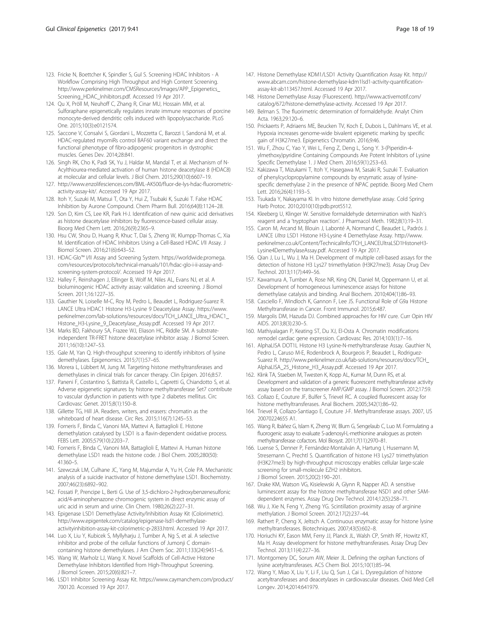- <span id="page-17-0"></span>123. Fricke N, Boettcher K, Spindler S, Gul S. Screening HDAC Inhibitors - A Workflow Comprising High Throughput and High Content Screening. [http://www.perkinelmer.com/CMSResources/Images/APP\\_Epigenetics\\_](http://www.perkinelmer.com/CMSResources/Images/APP_Epigenetics_Screening_HDAC_Inhibitors.pdf) [Screening\\_HDAC\\_Inhibitors.pdf](http://www.perkinelmer.com/CMSResources/Images/APP_Epigenetics_Screening_HDAC_Inhibitors.pdf). Accessed 19 Apr 2017.
- 124. Qu X, Pröll M, Neuhoff C, Zhang R, Cinar MU, Hossain MM, et al. Sulforaphane epigenetically regulates innate immune responses of porcine monocyte-derived dendritic cells induced with lipopolysaccharide. PLoS One. 2015;10(3):e0121574.
- 125. Saccone V, Consalvi S, Giordani L, Mozzetta C, Barozzi I, Sandoná M, et al. HDAC-regulated myomiRs control BAF60 variant exchange and direct the functional phenotype of fibro-adipogenic progenitors in dystrophic muscles. Genes Dev. 2014;28:841.
- 126. Singh RK, Cho K, Padi SK, Yu J, Haldar M, Mandal T, et al. Mechanism of N-Acylthiourea-mediated activation of human histone deacetylase 8 (HDAC8) at molecular and cellular levels. J Biol Chem. 2015;290(10):6607–19.
- 127. [http://www.enzolifesciences.com/BML-AK500/fluor-de-lys-hdac-fluorometric](http://www.enzolifesciences.com/BML-AK500/fluor-de-lys-hdac-fluorometric-activity-assay-kit/)[activity-assay-kit/](http://www.enzolifesciences.com/BML-AK500/fluor-de-lys-hdac-fluorometric-activity-assay-kit/). Accessed 19 Apr 2017.
- 128. Itoh Y, Suzuki M, Matsui T, Ota Y, Hui Z, Tsubaki K, Suzuki T. False HDAC Inhibition by Aurone Compound. Chem Pharm Bull. 2016;64(8):1124–28.
- 129. Son D, Kim CS, Lee KR, Park H-J. Identification of new quinic acid derivatives as histone deacetylase inhibitors by fluorescence-based cellular assay. Bioorg Med Chem Lett. 2016;26(9):2365–9.
- 130. Hsu CW, Shou D, Huang R, Khuc T, Dai S, Zheng W, Klumpp-Thomas C, Xia M. Identification of HDAC Inhibitors Using a Cell-Based HDAC I/II Assay. J Biomol Screen. 2016;21(6):643–52.
- 131. HDAC-Glo™ I/II Assay and Screening System. [https://worldwide.promega.](https://worldwide.promega.com/resources/protocols/technical-manuals/101/hdac-glo-i-ii-assay-and-screening-system-protocol/) [com/resources/protocols/technical-manuals/101/hdac-glo-i-ii-assay-and](https://worldwide.promega.com/resources/protocols/technical-manuals/101/hdac-glo-i-ii-assay-and-screening-system-protocol/)[screening-system-protocol/](https://worldwide.promega.com/resources/protocols/technical-manuals/101/hdac-glo-i-ii-assay-and-screening-system-protocol/). Accessed 19 Apr 2017.
- 132. Halley F, Reinshagen J, Ellinger B, Wolf M, Niles AL, Evans NJ, et al. A bioluminogenic HDAC activity assay: validation and screening. J Biomol Screen. 2011;16:1227–35.
- 133. Gauthier N, Loiselle M-C, Roy M, Pedro L, Beaudet L, Rodriguez-Suarez R. LANCE Ultra HDAC1 Histone H3-Lysine 9 Deacetylase Assay. [https://www.](https://www.perkinelmer.com/lab-solutions/resources/docs/TCH_LANCE_Ultra_HDAC1_Histone_H3-Lysine_9_Deacetylase_Assay.pdf) [perkinelmer.com/lab-solutions/resources/docs/TCH\\_LANCE\\_Ultra\\_HDAC1\\_](https://www.perkinelmer.com/lab-solutions/resources/docs/TCH_LANCE_Ultra_HDAC1_Histone_H3-Lysine_9_Deacetylase_Assay.pdf) [Histone\\_H3-Lysine\\_9\\_Deacetylase\\_Assay.pdf.](https://www.perkinelmer.com/lab-solutions/resources/docs/TCH_LANCE_Ultra_HDAC1_Histone_H3-Lysine_9_Deacetylase_Assay.pdf) Accessed 19 Apr 2017.
- 134. Marks BD, Fakhoury SA, Frazee WJ, Eliason HC, Riddle SM. A substrateindependent TR-FRET histone deacetylase inhibitor assay. J Biomol Screen. 2011;16(10):1247–53.
- 135. Gale M, Yan Q. High-throughput screening to identify inhibitors of lysine demethylases. Epigenomics. 2015;7(1):57–65.
- 136. Morera L, Lübbert M, Jung M. Targeting histone methyltransferases and demethylases in clinical trials for cancer therapy. Clin Epigen. 2016;8:57.
- 137. Paneni F, Costantino S, Battista R, Castello L, Capretti G, Chiandotto S, et al. Adverse epigenetic signatures by histone methyltransferase Set7 contribute to vascular dysfunction in patients with type 2 diabetes mellitus. Circ Cardiovasc Genet. 2015;8(1):150–8.
- 138. Gillette TG, Hill JA. Readers, writers, and erasers: chromatin as the whiteboard of heart disease. Circ Res. 2015;116(7):1245–53.
- 139. Forneris F, Binda C, Vanoni MA, Mattevi A, Battaglioli E. Histone demethylation catalysed by LSD1 is a flavin-dependent oxidative process. FEBS Lett. 2005;579(10):2203–7.
- 140. Forneris F, Binda C, Vanoni MA, Battaglioli E, Mattevi A. Human histone demethylase LSD1 reads the histone code. J Biol Chem. 2005;280(50): 41360–5.
- 141. Szewczuk LM, Culhane JC, Yang M, Majumdar A, Yu H, Cole PA. Mechanistic analysis of a suicide inactivator of histone demethylase LSD1. Biochemistry. 2007;46(23):6892–902.
- 142. Fossati P, Prencipe L, Berti G. Use of 3,5-dichloro-2-hydroxybenzenesulfonic acid/4-aminophenazone chromogenic system in direct enzymic assay of uric acid in serum and urine. Clin Chem. 1980;26(2):227–31.
- 143. Epigenase LSD1 Demethylase Activity/Inhibition Assay Kit (Colorimetric). [http://www.epigentek.com/catalog/epigenase-lsd1-demethylase](http://www.epigentek.com/catalog/epigenase-lsd1-demethylase-activityinhibition-assay-kit-colorimetric-p-2833.html)[activityinhibition-assay-kit-colorimetric-p-2833.html.](http://www.epigentek.com/catalog/epigenase-lsd1-demethylase-activityinhibition-assay-kit-colorimetric-p-2833.html) Accessed 19 Apr 2017.
- 144. Luo X, Liu Y, Kubicek S, Myllyharju J, Tumber A, Ng S, et al. A selective inhibitor and probe of the cellular functions of Jumonji C domaincontaining histone demethylases. J Am Chem Soc. 2011;133(24):9451–6.
- 145. Wang W, Marholz LJ, Wang X. Novel Scaffolds of Cell-Active Histone Demethylase Inhibitors Identified from High-Throughput Screening. J Biomol Screen. 2015;20(6):821–7.
- 146. LSD1 Inhibitor Screening Assay Kit. [https://www.caymanchem.com/product/](https://www.caymanchem.com/product/700120) [700120](https://www.caymanchem.com/product/700120). Accessed 19 Apr 2017.
- 147. Histone Demethylase KDM1/LSD1 Activity Quantification Assay Kit. [http://](http://www.abcam.com/histone-demethylase-kdm1lsd1-activity-quantification-assay-kit-ab113457.html) [www.abcam.com/histone-demethylase-kdm1lsd1-activity-quantification](http://www.abcam.com/histone-demethylase-kdm1lsd1-activity-quantification-assay-kit-ab113457.html)[assay-kit-ab113457.html](http://www.abcam.com/histone-demethylase-kdm1lsd1-activity-quantification-assay-kit-ab113457.html). Accessed 19 Apr 2017.
- 148. Histone Demethylase Assay (Fluorescent). [http://www.activemotif.com/](http://www.activemotif.com/catalog/672/histone-demethylase-activity) [catalog/672/histone-demethylase-activity.](http://www.activemotif.com/catalog/672/histone-demethylase-activity) Accessed 19 Apr 2017.
- 149. Belman S. The fluorimetric determination of formaldehyde. Analyt Chim Acta. 1963;29:120–6.
- 150. Prickaerts P, Adriaens ME, Beucken TV, Koch E, Dubois L, Dahlmans VE, et al. Hypoxia increases genome-wide bivalent epigenetic marking by specific gain of H3K27me3. Epigenetics Chromatin. 2016;9:46.
- 151. Wu F, Zhou C, Yao Y, Wei L, Feng Z, Deng L, Song Y. 3-(Piperidin-4 ylmethoxy)pyridine Containing Compounds Are Potent Inhibitors of Lysine Specific Demethylase 1. J Med Chem. 2016;59(1):253–63.
- 152. Kakizawa T, Mizukami T, Itoh Y, Hasegawa M, Sasaki R, Suzuki T. Evaluation of phenylcyclopropylamine compounds by enzymatic assay of lysinespecific demethylase 2 in the presence of NPAC peptide. Bioorg Med Chem Lett. 2016;26(4):1193–5.
- 153. Tsukada Y, Nakayama KI. In vitro histone demethylase assay. Cold Spring Harb Protoc. 2010;2010(10):pdb.prot5512.
- 154. Kleeberg U, Klinger W. Sensitive formaldehyde determination with Nash's reagent and a 'tryptophan reaction'. J Pharmacol Meth. 1982;8(1):19–31.
- 155. Caron M, Arcand M, Blouin J, Labonté A, Normand C, Beaudet L, Padrós J. LANCE Ultra LSD1 Histone H3-Lysine 4 Demethylase Assay. [http://www.](http://www.perkinelmer.co.uk/Content/TechnicalInfo/TCH_LANCEUltraLSD1HistoneH3-Lysine4DemethylaseAssay.pdf) [perkinelmer.co.uk/Content/TechnicalInfo/TCH\\_LANCEUltraLSD1HistoneH3-](http://www.perkinelmer.co.uk/Content/TechnicalInfo/TCH_LANCEUltraLSD1HistoneH3-Lysine4DemethylaseAssay.pdf) [Lysine4DemethylaseAssay.pdf](http://www.perkinelmer.co.uk/Content/TechnicalInfo/TCH_LANCEUltraLSD1HistoneH3-Lysine4DemethylaseAssay.pdf). Accessed 19 Apr 2017.
- 156. Qian J, Lu L, Wu J, Ma H. Development of multiple cell-based assays for the detection of histone H3 Lys27 trimethylation (H3K27me3). Assay Drug Dev Technol. 2013;11(7):449–56.
- 157. Kawamura A, Tumber A, Rose NR, King ON, Daniel M, Oppermann U, et al. Development of homogeneous luminescence assays for histone demethylase catalysis and binding. Anal Biochem. 2010;404(1):86–93.
- 158. Casciello F, Windloch K, Gannon F, Lee JS. Functional Role of G9a Histone Methyltransferase in Cancer. Front Immunol. 2015;6:487.
- 159. Margolis DM, Hazuda DJ. Combined approaches for HIV cure. Curr Opin HIV AIDS. 2013;8(3):230–5.
- 160. Mathiyalagan P, Keating ST, Du XJ, El-Osta A. Chromatin modifications remodel cardiac gene expression. Cardiovasc Res. 2014;103(1):7–16.
- 161. AlphaLISA DOT1L Histone H3 Lysine-N-methyltransferase Assay. Gauthier N, Pedro L, Caruso M-E, Rodenbrock A, Bourgeois P, Beaudet L, Rodriguez-Suarez R. [http://www.perkinelmer.co.uk/lab-solutions/resources/docs/TCH\\_](http://www.perkinelmer.co.uk/lab-solutions/resources/docs/TCH_AlphaLISA_25_Histone_H3_Assay.pdf) [AlphaLISA\\_25\\_Histone\\_H3\\_Assay.pdf](http://www.perkinelmer.co.uk/lab-solutions/resources/docs/TCH_AlphaLISA_25_Histone_H3_Assay.pdf). Accessed 19 Apr 2017.
- 162. Klink TA, Staeben M, Twesten K, Kopp AL, Kumar M, Dunn RS, et al. Development and validation of a generic fluorescent methyltransferase activity assay based on the transcreener AMP/GMP assay. J Biomol Screen. 2012;17:59.
- 163. Collazo E, Couture JF, Bulfer S, Trievel RC. A coupled fluorescent assay for histone methyltransferases. Anal Biochem. 2005;342(1):86–92.
- 164. Trievel R, Collazo-Santiago E, Couture J-F. Methyltransferase assays. 2007, US 20070224655 A1.
- 165. Wang R, Ibáñez G, Islam K, Zheng W, Blum G, Sengelaub C, Luo M. Formulating a fluorogenic assay to evaluate S-adenosyl-L-methionine analogues as protein methyltransferase cofactors. Mol Biosyst. 2011;7(11):2970–81.
- 166. Luense S, Denner P, Fernández-Montalván A, Hartung I, Husemann M, Stresemann C, Prechtl S. Quantification of histone H3 Lys27 trimethylation (H3K27me3) by high-throughput microscopy enables cellular large-scale screening for small-molecule EZH2 inhibitors. J Biomol Screen. 2015;20(2):190–201.
- 167. Drake KM, Watson VG, Kisielewski A, Glynn R, Napper AD. A sensitive luminescent assay for the histone methyltransferase NSD1 and other SAMdependent enzymes. Assay Drug Dev Technol. 2014;12(5):258–71.
- 168. Wu J, Xie N, Feng Y, Zheng YG. Scintillation proximity assay of arginine methylation. J Biomol Screen. 2012;17(2):237–44.
- 169. Rathert P, Cheng X, Jeltsch A. Continuous enzymatic assay for histone lysine methyltransferases. Biotechniques. 2007;43(5):602–8.
- 170. Horiuchi KY, Eason MM, Ferry JJ, Planck JL, Walsh CP, Smith RF, Howitz KT, Ma H. Assay development for histone methyltransferases. Assay Drug Dev Technol. 2013;11(4):227–36.
- 171. Montgomery DC, Sorum AW, Meier JL. Defining the orphan functions of lysine acetyltransferases. ACS Chem Biol. 2015;10(1):85–94.
- 172. Wang Y, Miao X, Liu Y, Li F, Liu Q, Sun J, Cai L. Dysregulation of histone acetyltransferases and deacetylases in cardiovascular diseases. Oxid Med Cell Longev. 2014;2014:641979.